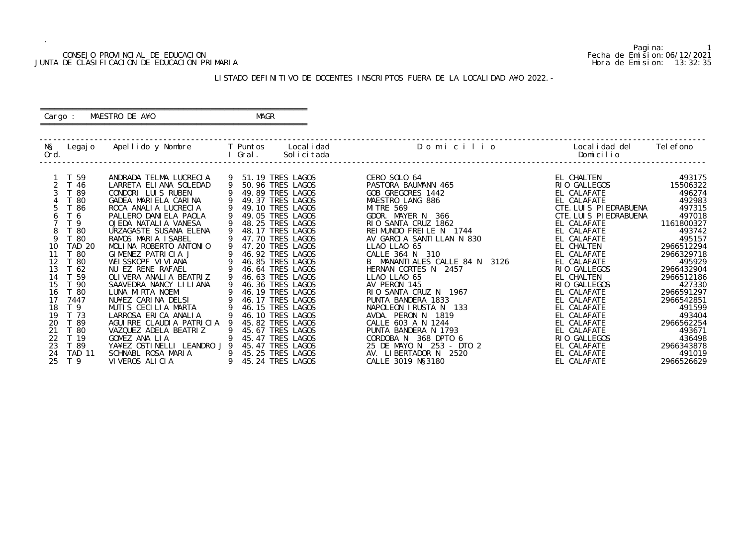Pagina: 1

|                                                                                                    |                                                                                                                                                                                                          | CONSEJO PROVINCIAL DE EDUCACION<br>JUNTA DE CLASIFICACION DE EDUCACION PRIMARIA                                                                                                                                                                                                                                                                                                                                                                                                                                                                                      |   |                                                                                                                                                                                                                                                                                                                                                                                                                                                                                      |                                                                                                                                                                                                                                                                                                                                                                                                                                                                                                                           | Fecha de Emision: 06/12/2021                                                                                                                                                                                                                                                                                                                                               | Hora de Emision: 13:32:35                                                                                                                                                                                                                                                |
|----------------------------------------------------------------------------------------------------|----------------------------------------------------------------------------------------------------------------------------------------------------------------------------------------------------------|----------------------------------------------------------------------------------------------------------------------------------------------------------------------------------------------------------------------------------------------------------------------------------------------------------------------------------------------------------------------------------------------------------------------------------------------------------------------------------------------------------------------------------------------------------------------|---|--------------------------------------------------------------------------------------------------------------------------------------------------------------------------------------------------------------------------------------------------------------------------------------------------------------------------------------------------------------------------------------------------------------------------------------------------------------------------------------|---------------------------------------------------------------------------------------------------------------------------------------------------------------------------------------------------------------------------------------------------------------------------------------------------------------------------------------------------------------------------------------------------------------------------------------------------------------------------------------------------------------------------|----------------------------------------------------------------------------------------------------------------------------------------------------------------------------------------------------------------------------------------------------------------------------------------------------------------------------------------------------------------------------|--------------------------------------------------------------------------------------------------------------------------------------------------------------------------------------------------------------------------------------------------------------------------|
|                                                                                                    |                                                                                                                                                                                                          |                                                                                                                                                                                                                                                                                                                                                                                                                                                                                                                                                                      |   |                                                                                                                                                                                                                                                                                                                                                                                                                                                                                      | LISTADO DEFINITIVO DE DOCENTES INSCRIPTOS FUERA DE LA LOCALIDAD A¥O 2022. -                                                                                                                                                                                                                                                                                                                                                                                                                                               |                                                                                                                                                                                                                                                                                                                                                                            |                                                                                                                                                                                                                                                                          |
|                                                                                                    | Cargo :                                                                                                                                                                                                  | MAESTRO DE A¥O                                                                                                                                                                                                                                                                                                                                                                                                                                                                                                                                                       |   | MAGR                                                                                                                                                                                                                                                                                                                                                                                                                                                                                 |                                                                                                                                                                                                                                                                                                                                                                                                                                                                                                                           |                                                                                                                                                                                                                                                                                                                                                                            |                                                                                                                                                                                                                                                                          |
| NŞ<br>Ord.                                                                                         |                                                                                                                                                                                                          | <u>and I</u> Gral.                                                                                                                                                                                                                                                                                                                                                                                                                                                                                                                                                   |   | Solicitada                                                                                                                                                                                                                                                                                                                                                                                                                                                                           | Legajo Apellido y Nombre   T Puntos Localidad     Domicilio     Localidad del                                                                                                                                                                                                                                                                                                                                                                                                                                             | Domicilio                                                                                                                                                                                                                                                                                                                                                                  | Tel efono                                                                                                                                                                                                                                                                |
| $\mathcal{S}$<br>4<br>5<br>6<br>8<br>9<br>10<br>11<br>12<br>13<br>14<br>18<br>19<br>20<br>21<br>23 | 1 T 59<br>2 T 46<br>T 89<br>T 80<br>T 86<br>T 6<br>T 9<br>T 80<br>T 80<br>TAD 20<br>T 80<br>T 80<br>T 62<br>T 59<br>15 T 90<br>16 T 80<br>7447<br>T <sub>9</sub><br>T 73<br>T 89<br>T 80<br>T 19<br>T 89 | ANDRADA TELMA LUCRECIA<br>LARRETA ELIANA SOLEDAD<br>CONDORI LUIS RUBEN<br>GADEA MARIELA CARINA<br>ROCA ANALIA LUCRECIA<br>PALLERO DANI ELA PAOLA<br>OJEDA NATALIA VANESA<br>URZAGASTE SUSANA ELENA<br>RAMOS MARIA ISABEL<br>MOLINA ROBERTO ANTONIO<br>GIMENEZ PATRICIA J<br>WEISSKOPF VIVIANA<br>NU EZ RENE RAFAEL<br>OLIVERA ANALIA BEATRIZ<br>SAAVEDRA NANCY LILIANA<br>LUNA MIRTA NOEMI<br>NU¥EZ CARINA DELSI<br>MUTIS CECILIA MARTA<br>LARROSA ERICA ANALIA<br>AGUIRRE CLAUDIA PATRICIA<br>VAZQUEZ ADELA BEATRIZ<br>GOMEZ ANA LIA<br>YA¥EZ OSTINELLI LEANDRO J 9 | 9 | 9 51.19 TRES LAGOS<br>9 50.96 TRES LAGOS<br>49.89 TRES LAGOS<br>9 49.37 TRES LAGOS<br>9 49.10 TRES LAGOS<br>49.05 TRES LAGOS<br>48.25 TRES LAGOS<br>48.17 TRES LAGOS<br>47.70 TRES LAGOS<br>47.20 TRES LAGOS<br>46.92 TRES LAGOS<br>46.85 TRES LAGOS<br>46.64 TRES LAGOS<br>9 46.63 TRES LAGOS<br>9 46.36 TRES LAGOS<br>46.19 TRES LAGOS<br>46.17 TRES LAGOS<br>46.15 TRES LAGOS<br>46.10 TRES LAGOS<br>45.82 TRES LAGOS<br>45.67 TRES LAGOS<br>45.47 TRES LAGOS<br>45.47 TRES LAGOS | CERO SOLO 64<br>PASTORA BAUMANN 465<br>GOB GREGORES 1442<br>MAESTRO LANG 886<br>MI TRE 569<br>GDOR. MAYER N 366<br>RIO SANTA CRUZ 1862<br>REIMUNDO FREILE N 1744<br>AV GARCIA SANTILLAN N 830<br>LLAO LLAO 65<br>CALLE 364 N 310<br>B MANANTIALES CALLE 84 N 3126<br>HERNAN CORTES N 2457<br>LLAO LLAO 65<br>AV PERON 145<br>RIO SANTA CRUZ N 1967<br>PUNTA BANDERA 1833<br>NAPOLEON IRUSTA N 133<br>AVDA. PERON N 1819<br>CALLE 603 A N 1244<br>PUNTA BANDERA N 1793<br>CORDOBA N 368 DPTO 6<br>25 DE MAYO N 253 - DTO 2 | EL CHALTEN<br>RIO GALLEGOS<br>EL CALAFATE<br>EL CALAFATE<br>CTE. LUIS PIEDRABUENA<br>CTE. LUIS PIEDRABUENA<br>EL CALAFATE<br>EL CALAFATE<br>EL CALAFATE<br>EL CHALTEN<br>EL CALAFATE<br>EL CALAFATE<br>RIO GALLEGOS<br>EL CHALTEN<br>RIO GALLEGOS<br>EL CALAFATE<br>EL CALAFATE<br>EL CALAFATE<br>EL CALAFATE<br>EL CALAFATE<br>EL CALAFATE<br>RIO GALLEGOS<br>EL CALAFATE | 493175<br>15506322<br>496274<br>492983<br>497315<br>497018<br>1161800327<br>493742<br>495157<br>2966512294<br>2966329718<br>495929<br>2966432904<br>2966512186<br>427330<br>2966591297<br>2966542851<br>491599<br>493404<br>2966562254<br>493671<br>436498<br>2966343878 |
| 24<br>25                                                                                           | <b>TAD 11</b><br>T 9                                                                                                                                                                                     | SCHNABL ROSA MARIA<br>VIVEROS ALICIA                                                                                                                                                                                                                                                                                                                                                                                                                                                                                                                                 |   | 45.25 TRES LAGOS<br>45.24 TRES LAGOS                                                                                                                                                                                                                                                                                                                                                                                                                                                 | AV. LIBERTADOR N 2520<br>CALLE 3019 N§3180                                                                                                                                                                                                                                                                                                                                                                                                                                                                                | EL CALAFATE<br>EL CALAFATE                                                                                                                                                                                                                                                                                                                                                 | 491019<br>2966526629                                                                                                                                                                                                                                                     |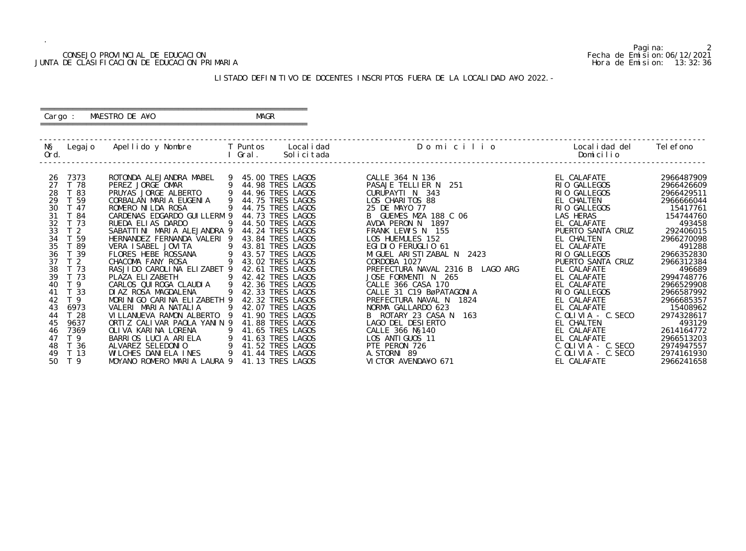#### CONSEJO PROVINCIAL DE EDUCACION Fecha de Emision:06/12/2021 JUNTA DE CLASIFICACION DE EDUCACION PRIMARIA Hora de Emision: 13:32:36

#### ========================================================== Cargo : MAESTRO DE A¥O **MAGR**

#### LISTADO DEFINITIVO DE DOCENTES INSCRIPTOS FUERA DE LA LOCALIDAD A¥O 2022.-

==========================================================

| NŞ<br>Legaj o<br>Ord. | Apellido y Nombre            | T Puntos | Local i dad<br>Solicitada<br>Gral. | Domicilio                        | Localidad del<br>Domicilio | Tel efono  |
|-----------------------|------------------------------|----------|------------------------------------|----------------------------------|----------------------------|------------|
| 7373<br>26            | ROTONDA ALEJANDRA MABEL      |          | 9 45.00 TRES LAGOS                 | CALLE 364 N 136                  | EL CALAFATE                | 2966487909 |
| T 78<br>27            | PEREZ JORGE OMAR             |          | 44.98 TRES LAGOS                   | PASAJE TELLIER N<br>251          | RIO GALLEGOS               | 2966426609 |
| 28<br>T 83            | PRUYAS JORGE ALBERTO         | 9        | 44.96 TRES LAGOS                   | CURUPAYTI N 343                  | RIO GALLEGOS               | 2966429511 |
| 29<br>T 59            | CORBALAN MARIA EUGENIA       | 9        | 44.75 TRES LAGOS                   | LOS CHARITOS 88                  | EL CHALTEN                 | 2966666044 |
| 30<br>T 47            | ROMERO NI LDA ROSA           |          | 44.75 TRES LAGOS                   | 25 DE MAYO 77                    | RIO GALLEGOS               | 15417761   |
| 31<br>T 84            | CARDENAS EDGARDO GUI LLERM 9 |          | 44.73 TRES LAGOS                   | B GUEMES MZA 188 C 06            | LAS HERAS                  | 154744760  |
| 32<br>T 73            | RUEDA ELIAS DARDO            |          | 44.50 TRES LAGOS                   | AVDA PERON N 1897                | EL CALAFATE                | 493458     |
| 33<br>T <sub>2</sub>  | SABATTINI MARIA ALEJANDRA 9  |          | 44.24 TRES LAGOS                   | FRANK LEWIS N 155                | PUERTO SANTA CRUZ          | 292406015  |
| 34<br>T 59            | HERNANDEZ FERNANDA VALERI 9  |          | 43.84 TRES LAGOS                   | LOS HUEMULES 152                 | EL CHALTEN                 | 2966270098 |
| 35<br>T 89            | VERA I SABEL JOVI TA         | 9        | 43.81 TRES LAGOS                   | EGIDIO FERUGLIO 61               | EL CALAFATE                | 491288     |
| 36<br>39              | FLORES HEBE ROSSANA          | 9        | 43.57 TRES LAGOS                   | MIGUEL ARISTIZABAL N 2423        | RIO GALLEGOS               | 2966352830 |
| 37<br>T <sub>2</sub>  | CHACOMA FANY ROSA            |          | 43.02 TRES LAGOS                   | CORDOBA 1027                     | PUERTO SANTA CRUZ          | 2966312384 |
| 38<br>T 73            | RASJIDO CAROLINA ELIZABET 9  |          | 42.61 TRES LAGOS                   | PREFECTURA NAVAL 2316 B LAGO ARG | EL CALAFATE                | 496689     |
| 39<br>T 73            | PLAZA ELIZABETH              | 9        | 42.42 TRES LAGOS                   | JOSE FORMENTI N 265              | EL CALAFATE                | 2994748776 |
| T 9<br>40             | CARLOS QUI ROGA CLAUDIA      | 9        | 42.36 TRES LAGOS                   | CALLE 366 CASA 170               | EL CALAFATE                | 2966529908 |
| T 33<br>41            | DIAZ ROSA MAGDALENA          |          | 42.33 TRES LAGOS                   | CALLE 31 C19 BøPATAGONIA         | RIO GALLEGOS               | 2966587992 |
| T <sub>9</sub><br>42  | MORINIGO CARINA ELIZABETH 9  |          | 42.32 TRES LAGOS                   | PREFECTURA NAVAL N<br>1824       | EL CALAFATE                | 2966685357 |
| 6973<br>43            | VALERI MARIA NATALIA         | 9        | 42.07 TRES LAGOS                   | NORMA GALLARDO 623               | EL CALAFATE                | 15408962   |
| T 28<br>44            | VILLANUEVA RAMON ALBERTO     | - Q      | 41.90 TRES LAGOS                   | 163<br>B ROTARY 23 CASA N        | $C.$ OLIVIA - C. SECO      | 2974328617 |
| 45<br>9637            | ORTIZ CALIVAR PAOLA YANIN 9  |          | 41.88 TRES LAGOS                   | LAGO DEL DESIERTO                | EL CHALTEN                 | 493129     |
| 7369<br>46            | OLIVA KARINA LORENA          | 9        | 41.65 TRES LAGOS                   | CALLE 366 N§140                  | EL CALAFATE                | 2614164772 |
| T 9<br>47             | BARRIOS LUCIA ARIELA         | 9        | 41.63 TRES LAGOS                   | LOS ANTI GUOS 11                 | EL CALAFATE                | 2966513203 |
| 48<br>T 36            | ALVAREZ SELEDONIO            | 9        | 41.52 TRES<br>LAGOS                | PTE PERON 726                    | C. OLIVIA - C. SECO        | 2974947557 |
| T 13<br>49            | WILCHES DANIELA INES         | 9        | 41.44 TRES LAGOS                   | A. STORNI 89                     | $C.$ OLIVIA - $C.$ SECO    | 2974161930 |
| 50<br>T <sub>9</sub>  | MOYANO ROMERO MARIA LAURA 9  |          | 41.13 TRES LAGOS                   | VICTOR AVENDA¥O 671              | EL CALAFATE                | 2966241658 |

Pagina: 2<br>Fecha de Emision: 06/12/2021<br>Hora de Emision: 13:32:36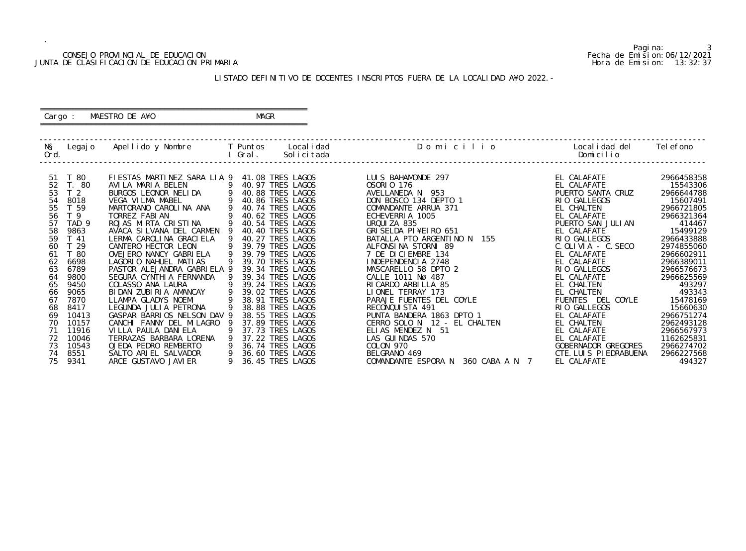#### CONSEJO PROVINCIAL DE EDUCACION Fecha de Emision:06/12/2021 JUNTA DE CLASIFICACION DE EDUCACION PRIMARIA Hora de Emision: 13:32:37

#### ========================================================== Cargo : MAESTRO DE A¥O **MAGR**

#### LISTADO DEFINITIVO DE DOCENTES INSCRIPTOS FUERA DE LA LOCALIDAD A¥O 2022.-

==========================================================

| NŞ   | Legaj o          | Apellido y Nombre           |    | T Puntos   | Local i dad      | Domicilio                             | Local i dad del         | Tel efono  |
|------|------------------|-----------------------------|----|------------|------------------|---------------------------------------|-------------------------|------------|
| Ord. |                  |                             |    | Gral .     | Solicitada       |                                       | Domicilio               |            |
|      |                  |                             |    |            |                  |                                       |                         |            |
| 51   | T 80             | FIESTAS MARTINEZ SARA LIA 9 |    |            | 41.08 TRES LAGOS | LUIS BAHAMONDE 297                    | EL CALAFATE             | 2966458358 |
| 52   | T. 80            | AVILA MARIA BELEN           | 9  |            | 40.97 TRES LAGOS | <b>OSORIO 176</b>                     | EL CALAFATE             | 15543306   |
| 53   | T <sub>2</sub>   | BURGOS LEONOR NELIDA        | -9 |            | 40.88 TRES LAGOS | 953<br>AVELLANEDA N                   | PUERTO SANTA CRUZ       | 2966644788 |
| 54   | 8018             | <b>VEGA VILMA MABEL</b>     |    |            | 40.86 TRES LAGOS | DON BOSCO 134 DEPTO 1                 | RIO GALLEGOS            | 15607491   |
| 55   | T 59             | MARTORANO CAROLINA ANA      |    |            | 40.74 TRES LAGOS | COMANDANTE ARRUA 371                  | EL CHALTEN              | 2966721805 |
| 56   | T <sub>9</sub>   | TORREZ FABIAN               |    |            | 40.62 TRES LAGOS | ECHEVERRIA 1005                       | EL CALAFATE             | 2966321364 |
| 57   | TAD <sub>9</sub> | ROJAS MIRTA CRISTINA        |    |            | 40.54 TRES LAGOS | URQUIZA 835                           | PUERTO SAN JULIAN       | 414467     |
| 58   | 9863             | AVACA SILVANA DEL CARMEN    |    |            | 40.40 TRES LAGOS | GRI SELDA PI¥EI RO 651                | EL CALAFATE             | 15499129   |
| 59   | T 41             | LERMA CAROLINA GRACIELA     |    |            | 40.27 TRES LAGOS | BATALLA PTO ARGENTINO N<br>155        | RIO GALLEGOS            | 2966433888 |
| 60   | T 29             | CANTERO HECTOR LEON         |    |            | 39.79 TRES LAGOS | ALFONSINA STORNI 89                   | $C.$ OLIVIA - $C.$ SECO | 2974855060 |
| 61   | $\overline{80}$  | OVEJERO NANCY GABRI ELA     |    |            | 39.79 TRES LAGOS | 7 DE DICIEMBRE 134                    | EL CALAFATE             | 2966602911 |
| 62   | 6698             | LAGORIO NAHUEL MATIAS       |    |            | 39.70 TRES LAGOS | INDEPENDENCIA 2748                    | EL CALAFATE             | 2966389011 |
| 63   | 6789             | PASTOR ALEJANDRA GABRIELA 9 |    |            | 39.34 TRES LAGOS | MASCARELLO 58 DPTO 2                  | RIO GALLEGOS            | 2966576673 |
| 64   | 9800             | SEGURA CYNTHI A FERNANDA    |    |            | 39.34 TRES LAGOS | CALLE 1011 Nø 487                     | EL CALAFATE             | 2966625569 |
| 65   | 9450             | COLASSO ANA LAURA           |    |            | 39.24 TRES LAGOS | RI CARDO ARBILLA 85                   | EL CHALTEN              | 493297     |
| 66   | 9065             | BIDAN ZUBIRIA AMANCAY       |    |            | 39.02 TRES LAGOS | LIONEL TERRAY 173                     | EL CHALTEN              | 493343     |
| 67   | 7870             | LLAMPA GLADYS NOEMI         |    |            | 38.91 TRES LAGOS | PARAJE FUENTES DEL COYLE              | FUENTES DEL COYLE       | 15478169   |
| 68   | 8417             | LEGUNDA JULIA PETRONA       |    |            | 38.88 TRES LAGOS | RECONQUISTA 491                       | RIO GALLEGOS            | 15660630   |
| 69   | 10413            | GASPAR BARRIOS NELSON DAV 9 |    | 38.55 TRES | LAGOS            | PUNTA BANDERA 1863 DPTO 1             | EL CALAFATE             | 2966751274 |
| 70   | 10157            | CANCHI FANNY DEL MILAGRO    |    |            | 37.89 TRES LAGOS | CERRO SOLO N 12 - EL CHALTEN          | EL CHALTEN              | 2962493128 |
| 71   | 11916            | VILLA PAULA DANIELA         |    |            | 37.73 TRES LAGOS | ELIAS MENDEZ N 51                     | EL CALAFATE             | 2966567973 |
| 72   | 10046            | TERRAZAS BARBARA LORENA     |    |            | 37.22 TRES LAGOS | LAS GUINDAS 570                       | EL CALAFATE             | 1162625831 |
| 73   | 10543            | OJEDA PEDRO REMBERTO        |    |            | 36.74 TRES LAGOS | COLON 970                             | GOBERNADOR GREGORES     | 2966274702 |
| 74   | 8551             | SALTO ARIEL SALVADOR        |    |            | 36.60 TRES LAGOS | BELGRANO 469                          | CTE. LUIS PIEDRABUENA   | 2966227568 |
| 75   | 9341             | ARCE GUSTAVO JAVI ER        |    |            | 36.45 TRES LAGOS | COMANDANTE ESPORA N<br>360 CABA A N 7 | EL CALAFATE             | 494327     |
|      |                  |                             |    |            |                  |                                       |                         |            |

Pagina: 3<br>Fecha de Emision: 06/12/2021<br>Hora de Emision: 13:32:37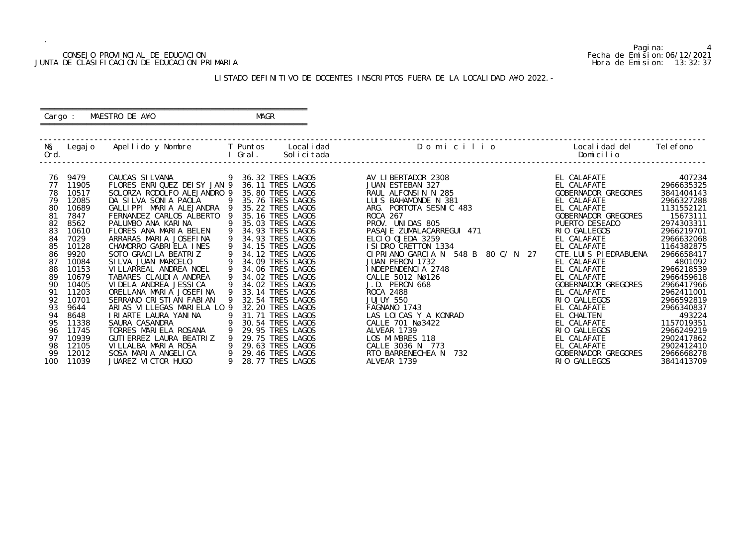#### CONSEJO PROVINCIAL DE EDUCACION Fecha de Emision:06/12/2021 JUNTA DE CLASIFICACION DE EDUCACION PRIMARIA Hora de Emision: 13:32:37

 ========================================================== Cargo : MAESTRO DE A¥O **MAGR** 

#### LISTADO DEFINITIVO DE DOCENTES INSCRIPTOS FUERA DE LA LOCALIDAD A¥O 2022.-

==========================================================

| NŞ<br>Ord.                                                                                                                                           | Legaj o                                                                                                                                                                                                                | Apellido y Nombre                                                                                                                                                                                                                                                                                                                                                                                                                                                                                                                                                                                                                                         |                       | T Puntos<br>Gral. | Local i dad<br>Solicitada                                                                                                                                                                                                                                                                                                                                                                                                                                                                             | Domicilio                                                                                                                                                                                                                                                                                                                                                                                                                                                                                                                                            | Local i dad del<br>Domicilio                                                                                                                                                                                                                                                                                                                                                                                                        | Tel efono                                                                                                                                                                                                                                                                                                                                     |
|------------------------------------------------------------------------------------------------------------------------------------------------------|------------------------------------------------------------------------------------------------------------------------------------------------------------------------------------------------------------------------|-----------------------------------------------------------------------------------------------------------------------------------------------------------------------------------------------------------------------------------------------------------------------------------------------------------------------------------------------------------------------------------------------------------------------------------------------------------------------------------------------------------------------------------------------------------------------------------------------------------------------------------------------------------|-----------------------|-------------------|-------------------------------------------------------------------------------------------------------------------------------------------------------------------------------------------------------------------------------------------------------------------------------------------------------------------------------------------------------------------------------------------------------------------------------------------------------------------------------------------------------|------------------------------------------------------------------------------------------------------------------------------------------------------------------------------------------------------------------------------------------------------------------------------------------------------------------------------------------------------------------------------------------------------------------------------------------------------------------------------------------------------------------------------------------------------|-------------------------------------------------------------------------------------------------------------------------------------------------------------------------------------------------------------------------------------------------------------------------------------------------------------------------------------------------------------------------------------------------------------------------------------|-----------------------------------------------------------------------------------------------------------------------------------------------------------------------------------------------------------------------------------------------------------------------------------------------------------------------------------------------|
| 76<br>77<br>78<br>79<br>80<br>-81<br>82<br>83<br>84<br>85<br>86<br>87<br>88<br>89<br>90<br>91<br>92<br>93<br>94<br>95<br>96<br>97<br>98<br>99<br>100 | 9479<br>11905<br>10517<br>12085<br>10689<br>7847<br>8562<br>10610<br>7029<br>10128<br>9920<br>10084<br>10153<br>10679<br>10405<br>11203<br>10701<br>9644<br>8648<br>11338<br>11745<br>10939<br>12105<br>12012<br>11039 | CAUCAS SILVANA<br>FLORES ENRIQUEZ DEISY JAN 9<br>SOLORZA RODOLFO ALEJANDRO 9<br>DA SILVA SONIA PAOLA<br>GALLIPPI MARIA ALEJANDRA<br>FERNANDEZ CARLOS ALBERTO<br>PALUMBO ANA KARINA<br>FLORES ANA MARIA BELEN<br>ARRARAS MARIA JOSEFINA<br>CHAMORRO GABRIELA INES<br>SOTO GRACILA BEATRIZ<br>SILVA JUAN MARCELO<br>VI LLARREAL ANDREA NOEL<br>TABARES CLAUDIA ANDREA<br>VI DELA ANDREA JESSI CA<br>ORELLANA MARIA JOSEFINA<br>SERRANO CRISTIAN FABIAN<br>ARIAS VILLEGAS MARIELA LO 9<br>I RI ARTE LAURA YANI NA<br>SAURA CASANDRA<br>TORRES MARIELA ROSANA<br>GUTI ERREZ LAURA BEATRIZ<br>VILLALBA MARIA ROSA<br>SOSA MARIA ANGELICA<br>JUAREZ VICTOR HUGO | 9<br>9<br>$\mathsf Q$ | 30.54 TRES        | 36.32 TRES LAGOS<br>36.11 TRES LAGOS<br>35.80 TRES LAGOS<br>35.76 TRES LAGOS<br>35.22 TRES LAGOS<br>35.16 TRES LAGOS<br>35.03 TRES LAGOS<br>34.93 TRES LAGOS<br>34.93 TRES LAGOS<br>34.15 TRES LAGOS<br>34.12 TRES LAGOS<br>34.09 TRES LAGOS<br>34.06 TRES LAGOS<br>34.02 TRES LAGOS<br>34.02 TRES LAGOS<br>33.14 TRES LAGOS<br>32.54 TRES LAGOS<br>32.20 TRES LAGOS<br>31.71 TRES LAGOS<br>LAGOS<br>29.95 TRES LAGOS<br>29.75 TRES LAGOS<br>29.63 TRES LAGOS<br>29.46 TRES LAGOS<br>28.77 TRES LAGOS | AV LIBERTADOR 2308<br>JUAN ESTEBAN 327<br>RAUL ALFONSIN N 285<br>LUIS BAHAMONDE N 381<br>ARG. PORTOTA SESNIC 483<br><b>ROCA 267</b><br>PROV. UNIDAS 805<br>PASAJE ZUMALACARREGUI 471<br>ELCIO OJEDA 3259<br>I SI DRO CRETTON 1334<br>CIPRIANO GARCIA N 548 B<br>80 C/ N<br>27<br>JUAN PERON 1732<br>INDEPENDENCIA 2748<br>CALLE 5012 Nø126<br>J.D. PERON 668<br>ROCA 2488<br>JUJUY 550<br>FAGNANO 1743<br>LAS LOICAS Y A KONRAD<br>CALLE 701 Nø3422<br>ALVEAR 1739<br>LOS MIMBRES 118<br>CALLE 3036 N 773<br>RTO BARRENECHEA N<br>732<br>ALVEAR 1739 | EL CALAFATE<br>EL CALAFATE<br>GOBERNADOR GREGORES<br>EL CALAFATE<br>EL CALAFATE<br>GOBERNADOR GREGORES<br>PUERTO DESEADO<br>RIO GALLEGOS<br>EL CALAFATE<br>EL CALAFATE<br>CTE. LUIS PIEDRABUENA<br>EL CALAFATE<br>EL CALAFATE<br>EL CALAFATE<br>GOBERNADOR GREGORES<br>EL CALAFATE<br>RIO GALLEGOS<br>EL CALAFATE<br>EL CHALTEN<br>EL CALAFATE<br>RIO GALLEGOS<br>EL CALAFATE<br>EL CALAFATE<br>GOBERNADOR GREGORES<br>RIO GALLEGOS | 407234<br>2966635325<br>3841404143<br>2966327288<br>1131552121<br>15673111<br>2974303311<br>2966219701<br>2966632068<br>1164382875<br>2966658417<br>4801092<br>2966218539<br>2966459618<br>2966417966<br>2962411001<br>2966592819<br>2966340837<br>493224<br>1157019351<br>2966249219<br>2902417862<br>2902412410<br>2966668278<br>3841413709 |

Pagina: 4<br>Fecha de Emision: 06/12/2021<br>Hora de Emision: 13: 32: 37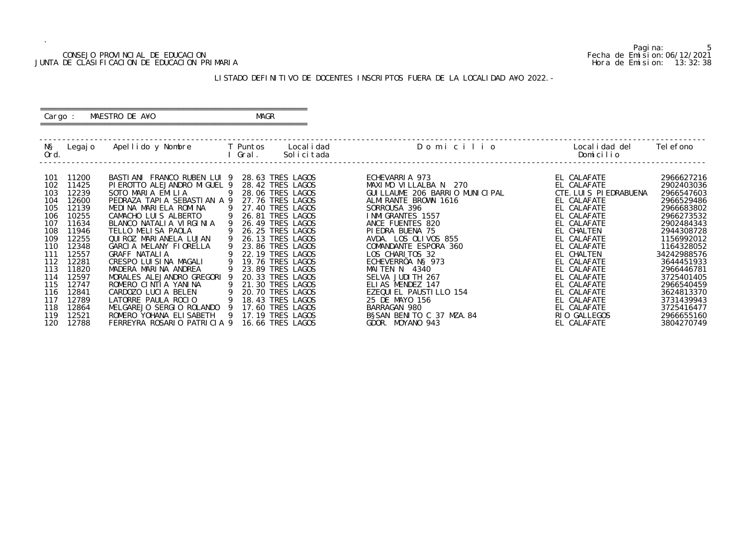#### CONSEJO PROVINCIAL DE EDUCACION Fecha de Emision:06/12/2021 JUNTA DE CLASIFICACION DE EDUCACION PRIMARIA Hora de Emision: 13:32:38

#### ========================================================== Cargo : MAESTRO DE A¥O **MAGR**

#### LISTADO DEFINITIVO DE DOCENTES INSCRIPTOS FUERA DE LA LOCALIDAD A¥O 2022.-

==========================================================

| NŞ<br>Ord.                                                                                            | Legaj o                                                                                                                             | Apellido y Nombre                                                                                                                                                                                                                                                                                                                                                                                    | T Puntos<br>Gral.   | Local i dad<br>Solicitada                                                                                                                                                                                                                                                                                       | Domicilio                                                                                                                                                                                                                                                                                                                          | Local i dad del<br>Domicilio                                                                                                                                                                                                          | Tel efono                                                                                                                                                                                                       |
|-------------------------------------------------------------------------------------------------------|-------------------------------------------------------------------------------------------------------------------------------------|------------------------------------------------------------------------------------------------------------------------------------------------------------------------------------------------------------------------------------------------------------------------------------------------------------------------------------------------------------------------------------------------------|---------------------|-----------------------------------------------------------------------------------------------------------------------------------------------------------------------------------------------------------------------------------------------------------------------------------------------------------------|------------------------------------------------------------------------------------------------------------------------------------------------------------------------------------------------------------------------------------------------------------------------------------------------------------------------------------|---------------------------------------------------------------------------------------------------------------------------------------------------------------------------------------------------------------------------------------|-----------------------------------------------------------------------------------------------------------------------------------------------------------------------------------------------------------------|
| 101<br>102<br>103<br>104<br>105<br>106<br>107<br>108<br>109<br>110<br>111<br>112<br>113<br>114<br>115 | 11200<br>11425<br>12239<br>12600<br>12139<br>10255<br>11634<br>11946<br>12255<br>12348<br>12557<br>12281<br>11820<br>12597<br>12747 | BASTIANI FRANCO RUBEN LUI 9<br>PIEROTTO ALEJANDRO MIGUEL 9<br>SOTO MARIA EMILIA<br>PEDRAZA TAPIA SEBASTIAN A 9<br>MEDINA MARIELA ROMINA<br>CAMACHO LUIS ALBERTO<br>BLANCO NATALIA VIRGINIA<br>TELLO MELISA PAOLA<br>QUI ROZ MARI ANELA LUJAN<br>GARCIA MELANY FIORELLA<br><b>GRAFF NATALIA</b><br>CRESPO LUISINA MAGALI<br>MADERA MARINA ANDREA<br>MORALES ALEJANDRO GREGORI<br>ROMERO CINTIA YANINA | -9<br>9<br><b>Q</b> | 28.63 TRES LAGOS<br>28.42 TRES LAGOS<br>28.06 TRES LAGOS<br>27.76 TRES LAGOS<br>27.40 TRES LAGOS<br>26.81 TRES LAGOS<br>26.49 TRES LAGOS<br>26.25 TRES LAGOS<br>26.13 TRES LAGOS<br>23.86 TRES LAGOS<br>22.19 TRES LAGOS<br><b>19.76 TRES LAGOS</b><br>23.89 TRES LAGOS<br>20.33 TRES LAGOS<br>21.30 TRES LAGOS | ECHEVARRIA 973<br>MAXIMO VILLALBA N 270<br>GUI LLAUME 206 BARRIO MUNICIPAL<br>ALMIRANTE BROWN 1616<br>SORROUSA 396<br>I NMI GRANTES 1557<br>ANCE FUENTES 820<br>PIEDRA BUENA 75<br>AVDA. LOS OLIVOS 855<br>COMANDANTE ESPORA 360<br>LOS CHARITOS 32<br>ECHEVERRÖA NS 973<br>MAITEN N 4340<br>SELVA JUDI TH 267<br>ELIAS MENDEZ 147 | EL CALAFATE<br>EL CALAFATE<br>CTE. LUIS PIEDRABUENA<br>EL CALAFATE<br>EL CALAFATE<br>EL CALAFATE<br>EL CALAFATE<br>EL CHALTEN<br>EL CALAFATE<br>EL CALAFATE<br>EL CHALTEN<br>EL CALAFATE<br>EL CALAFATE<br>EL CALAFATE<br>EL CALAFATE | 2966627216<br>2902403036<br>2966547603<br>2966529486<br>2966683802<br>2966273532<br>2902484343<br>2944308728<br>1156992012<br>1164328052<br>34242988576<br>3644451933<br>2966446781<br>3725401405<br>2966540459 |
| 116<br>117<br>118<br>119<br>120                                                                       | 12841<br>12789<br>12864<br>12521<br>12788                                                                                           | CARDOZO LUCIA BELEN<br>LATORRE PAULA ROCLO<br>MELGAREJO SERGIO ROLANDO<br>ROMERO YOHANA ELI SABETH<br>FERREYRA ROSARIO PATRICIA 9                                                                                                                                                                                                                                                                    | -9                  | 20.70 TRES LAGOS<br>18.43 TRES LAGOS<br>17,60 TRES LAGOS<br>17.19 TRES LAGOS<br>16.66 TRES LAGOS                                                                                                                                                                                                                | EZEQUI EL PAUSTI LLO 154<br>25 DE MAYO 156<br>BARRAGAN 980<br>BSSAN BENITO C 37 MZA. 84<br>GDOR. MOYANO 943                                                                                                                                                                                                                        | EL CALAFATE<br>EL CALAFATE<br>EL CALAFATE<br>RIO GALLEGOS<br>EL CALAFATE                                                                                                                                                              | 3624813370<br>3731439943<br>3725416477<br>2966655160<br>3804270749                                                                                                                                              |

5<br>Fecha de Emision: 06/12/2021<br>Hora de Emision: 13:32:38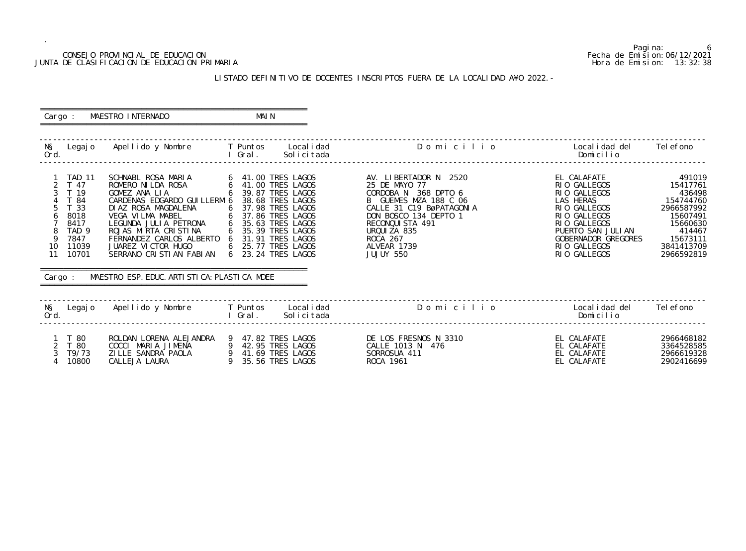#### CONSEJO PROVINCIAL DE EDUCACION Fecha de Emision:06/12/2021 JUNTA DE CLASIFICACION DE EDUCACION PRIMARIA Hora de Emision: 13:32:38

## LISTADO DEFINITIVO DE DOCENTES INSCRIPTOS FUERA DE LA LOCALIDAD A¥O 2022.-

| Cargo :                                        |                                                                                                                        | MAESTRO INTERNADO                                                                                                                                                                                                                                                                                                                                                                                                                                                              | MAI N   |                                                                |                                                                                                                                                                                                                        |                                                                                                                                                                                      |                                                                                                                                   |
|------------------------------------------------|------------------------------------------------------------------------------------------------------------------------|--------------------------------------------------------------------------------------------------------------------------------------------------------------------------------------------------------------------------------------------------------------------------------------------------------------------------------------------------------------------------------------------------------------------------------------------------------------------------------|---------|----------------------------------------------------------------|------------------------------------------------------------------------------------------------------------------------------------------------------------------------------------------------------------------------|--------------------------------------------------------------------------------------------------------------------------------------------------------------------------------------|-----------------------------------------------------------------------------------------------------------------------------------|
| NŞ<br>Ord.                                     |                                                                                                                        | Legajo Apellido y Nombre T Puntos Localidad                                                                                                                                                                                                                                                                                                                                                                                                                                    |         | I Gral. Solicitada                                             | Domicilio                                                                                                                                                                                                              | Local i dad del<br>Domicilio                                                                                                                                                         | Tel efono                                                                                                                         |
| 3<br>$\overline{4}$<br>5<br>6<br>9<br>10<br>11 | <b>TAD 11</b><br>T 47<br>T 19<br>T 84<br>T 33<br>8018<br>8417<br>TAD <sub>9</sub><br>7847<br>11039<br>10701<br>Cargo : | SCHNABL ROSA MARIA<br>ROMERO NI LDA ROSA<br>GOMEZ ANA LIA<br>CARDENAS EDGARDO GUILLERM 6 38.68 TRES LAGOS<br>DIAZ ROSA MAGDALENA<br>VEGA VILMA MABEL 6 37.98 TRES LAGOS<br>LEGUNDA JULIA PETRONA 6 35.63 TRES LAGOS<br>ROJAS MIRTA CRISTINA 6 35.39 TRES LAGOS<br>ROJAS MIRTA CRISTINA 6 35.39 TRES LAGOS<br>FERNANDEZ CARLOS ALBERTO 6 31.91 TRES LAGOS<br>JUAREZ VICTOR HUGO<br>SERRANO CRISTIAN FABIAN 6 23.24 TRES LAGOS<br>MAESTRO ESP. EDUC. ARTI STI CA: PLASTI CA MDEE |         | 6 39.87 TRES LAGOS<br>6 25.77 TRES LAGOS                       | AV. LIBERTADOR N 2520<br>25 DE MAYO 77<br>CORDOBA N 368 DPTO 6<br>B GUEMES MZA 188 C 06<br>CALLE 31 C19 BØPATAGONIA<br>DON BOSCO 134 DEPTO 1<br>RECONQUISTA 491<br>URQUIZA 835<br>ROCA 267<br>ALVEAR 1739<br>JUJUY 550 | EL CALAFATE<br>RIO GALLEGOS<br>RIO GALLEGOS<br>LAS HERAS<br>RIO GALLEGOS<br>RIO GALLEGOS<br>RIO GALLEGOS<br>PUERTO SAN JULIAN<br>GOBERNADOR GREGORES<br>RIO GALLEGOS<br>RIO GALLEGOS | 491019<br>15417761<br>436498<br>154744760<br>2966587992<br>15607491<br>15660630<br>414467<br>15673111<br>3841413709<br>2966592819 |
| NŞ<br>Ord.                                     |                                                                                                                        | Legajo Apellido y Nombre T Puntos Localidad                                                                                                                                                                                                                                                                                                                                                                                                                                    | l Gral. | Solicitada                                                     | Domicilio                                                                                                                                                                                                              | Local i dad del<br>Domicilio                                                                                                                                                         | Tel efono                                                                                                                         |
| 2<br>3<br>$\overline{4}$                       | 1 T 80<br>T 80<br>T9/73<br>10800                                                                                       | ROLDAN LORENA ALEJANDRA 9 47.82 TRES LAGOS<br>COCCI MARIA JIMENA<br>ZILLE SANDRA PAOLA<br>CALLEJA LAURA                                                                                                                                                                                                                                                                                                                                                                        |         | 9 42.95 TRES LAGOS<br>9 41.69 TRES LAGOS<br>9 35.56 TRES LAGOS | DE LOS FRESNOS N 3310<br>CALLE 1013 N 476<br>SORROSUA 411<br>ROCA 1961                                                                                                                                                 | EL CALAFATE<br>EL CALAFATE<br>EL CALAFATE<br>EL CALAFATE                                                                                                                             | 2966468182<br>3364528585<br>2966619328<br>2902416699                                                                              |

6<br>Fecha de Emision: 06/12/2021<br>Hora de Emision: 13:32:38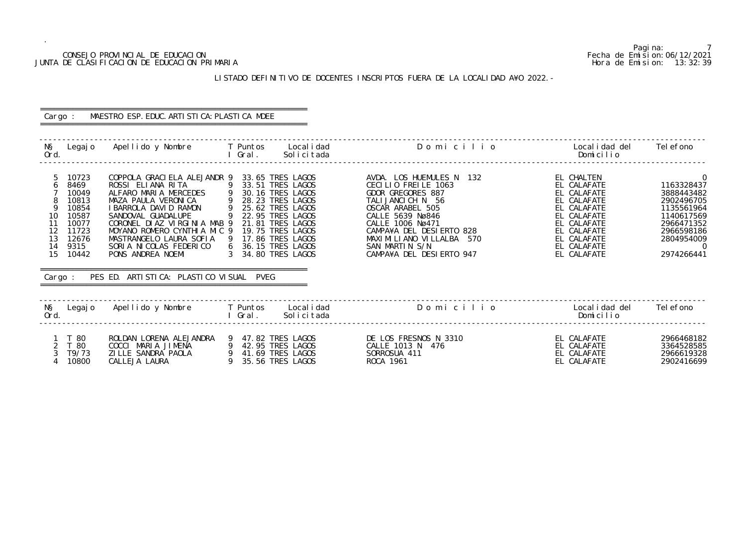#### CONSEJO PROVINCIAL DE EDUCACION Fecha de Emision:06/12/2021 JUNTA DE CLASIFICACION DE EDUCACION PRIMARIA Hora de Emision: 13:32:39

#### LISTADO DEFINITIVO DE DOCENTES INSCRIPTOS FUERA DE LA LOCALIDAD A¥O 2022.-

# ========================================================== Cargo : MAESTRO ESP. EDUC. ARTISTICA: PLASTICA MDEE ==========================================================

| NŞ<br>Legaj o<br>Ord.                                                                                                                             | Apellido y Nombre                                                                                                                                                                                                                                                                                                                   | T Puntos<br>Local i dad<br>Gral.<br>Solicitada                                                                                                                                                                                                               | Domicilio                                                                                                                                                                                                                                                     | Local i dad del<br>Domicilio                                                                                                                                     | Tel efono                                                                                                                                           |
|---------------------------------------------------------------------------------------------------------------------------------------------------|-------------------------------------------------------------------------------------------------------------------------------------------------------------------------------------------------------------------------------------------------------------------------------------------------------------------------------------|--------------------------------------------------------------------------------------------------------------------------------------------------------------------------------------------------------------------------------------------------------------|---------------------------------------------------------------------------------------------------------------------------------------------------------------------------------------------------------------------------------------------------------------|------------------------------------------------------------------------------------------------------------------------------------------------------------------|-----------------------------------------------------------------------------------------------------------------------------------------------------|
| 10723<br>8469<br>6<br>10049<br>10813<br>10854<br>10<br>10587<br>10077<br>11<br>12<br>11723<br>13<br>12676<br>14<br>9315<br>15<br>10442<br>Cargo : | COPPOLA GRACI ELA ALEJANDR 9<br>ROSSI ELIANA RITA<br>ALFARO MARIA MERCEDES<br>MAZA PAULA VERONICA<br>I BARROLA DAVID RAMON<br>SANDOVAL GUADALUPE<br>CORONEL DIAZ VIRGINIA MAB 9<br>MOYANO ROMERO CYNTHIA MIC 9<br>MASTRANGELO LAURA SOFIA<br>SORIA NICOLAS FEDERICO<br>PONS ANDREA NOEMI<br>PES ED. ARTISTICA: PLASTICO VISUAL PVEG | 33.65 TRES LAGOS<br>9<br>33.51 TRES LAGOS<br>$\overline{9}$<br>30.16 TRES LAGOS<br>28.23 TRES LAGOS<br>9<br>25.62 TRES LAGOS<br>22.95 TRES LAGOS<br>21.81 TRES LAGOS<br>19.75 TRES LAGOS<br>17.86 TRES LAGOS<br>-9<br>6 36.15 TRES LAGOS<br>34.80 TRES LAGOS | AVDA. LOS HUEMULES N<br>132<br>CECILIO FREILE 1063<br>GDOR GREGORES 887<br>TALIJANCICH N 56<br>OSCAR ARABEL 505<br>CALLE 5639 Nø846<br>CALLE 1006 Nø471<br>CAMPA¥A DEL DESIERTO 828<br>MAXIMILIANO VILLALBA 570<br>SAN MARTIN S/N<br>CAMPA¥A DEL DESIERTO 947 | EL CHALTEN<br>EL CALAFATE<br>EL CALAFATE<br>EL CALAFATE<br>EL CALAFATE<br>EL CALAFATE<br>EL CALAFATE<br>EL CALAFATE<br>EL CALAFATE<br>EL CALAFATE<br>EL CALAFATE | $\overline{0}$<br>1163328437<br>3888443482<br>2902496705<br>1135561964<br>1140617569<br>2966471352<br>2966598186<br>2804954009<br>- 0<br>2974266441 |
| NŞ<br>Legaj o                                                                                                                                     | Apellido y Nombre                                                                                                                                                                                                                                                                                                                   | T Puntos<br>Local i dad                                                                                                                                                                                                                                      | Domicilio                                                                                                                                                                                                                                                     | Local i dad del                                                                                                                                                  | Tel efono                                                                                                                                           |
| Ord.                                                                                                                                              |                                                                                                                                                                                                                                                                                                                                     | Solicitada<br>Gral.                                                                                                                                                                                                                                          |                                                                                                                                                                                                                                                               | Domicilio                                                                                                                                                        |                                                                                                                                                     |
| T 80<br>$\overline{2}$<br>T 80<br>T9/73<br>10800                                                                                                  | ROLDAN LORENA ALEJANDRA<br>COCCI MARIA JIMENA<br>ZI LLE SANDRA PAOLA<br>CALLEJA LAURA                                                                                                                                                                                                                                               | 47.82 TRES LAGOS<br>-9<br>42.95 TRES LAGOS<br>9<br>41.69 TRES LAGOS<br>9<br>9<br>35.56 TRES LAGOS                                                                                                                                                            | DE LOS FRESNOS N 3310<br>CALLE 1013 N 476<br>SORROSUA 411<br>ROCA 1961                                                                                                                                                                                        | EL CALAFATE<br>EL CALAFATE<br>EL CALAFATE<br>EL CALAFATE                                                                                                         | 2966468182<br>3364528585<br>2966619328<br>2902416699                                                                                                |

Pagina: 7<br>Fecha de Emision: 06/12/2021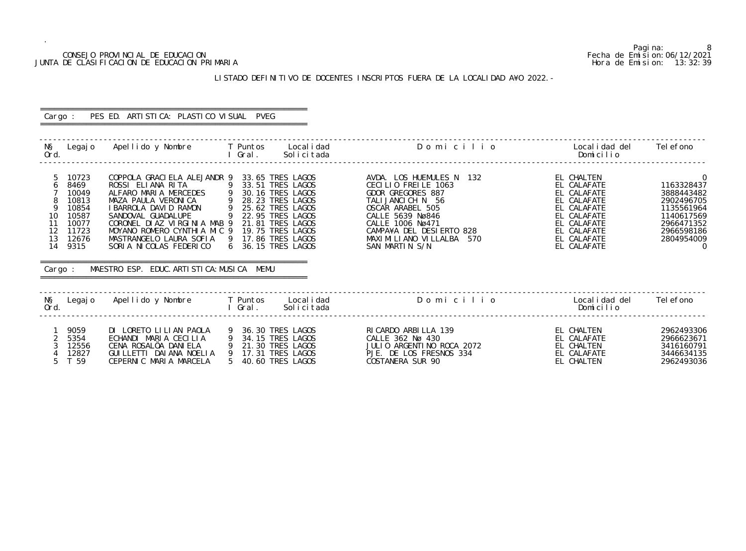#### CONSEJO PROVINCIAL DE EDUCACION Fecha de Emision:06/12/2021 JUNTA DE CLASIFICACION DE EDUCACION PRIMARIA Hora de Emision: 13:32:39

## LISTADO DEFINITIVO DE DOCENTES INSCRIPTOS FUERA DE LA LOCALIDAD A¥O 2022.-

| Cargo :                                                                                                                                      | PES ED. ARTISTICA: PLASTICO VISUAL PVEG                                                                                                                                                                                                                                                                                                                                   |                                                                                                                                                                      |                                                                                                                                                                                                                                |                                                                                                                                                   |                                                                                                                                                  |
|----------------------------------------------------------------------------------------------------------------------------------------------|---------------------------------------------------------------------------------------------------------------------------------------------------------------------------------------------------------------------------------------------------------------------------------------------------------------------------------------------------------------------------|----------------------------------------------------------------------------------------------------------------------------------------------------------------------|--------------------------------------------------------------------------------------------------------------------------------------------------------------------------------------------------------------------------------|---------------------------------------------------------------------------------------------------------------------------------------------------|--------------------------------------------------------------------------------------------------------------------------------------------------|
| NŞ<br>Ord.                                                                                                                                   | Legajo Apellido y Nombre T Puntos Localidad                                                                                                                                                                                                                                                                                                                               | l Gral.<br>Solicitada                                                                                                                                                | Domicilio                                                                                                                                                                                                                      | Local i dad del<br>Domicilio                                                                                                                      | Tel efono                                                                                                                                        |
| 5<br>10723<br>8469<br>6<br>10049<br>10813<br>9<br>10854<br>10<br>10587<br>11<br>10077<br>12<br>11723<br>13<br>12676<br>14<br>9315<br>Cargo : | COPPOLA GRACIELA ALEJANDR 9 33.65 TRES LAGOS<br>ROSSI ELIANA RITA<br>ALFARO MARIA MERCEDES 9 30.16 TRES LAGOS<br>MAZA PAULA VERONICA<br>I BARROLA DAVID RAMON<br>SANDOVAL GUADALUPE<br>CORONEL DIAZ VIRGINIA MAB 9<br>MOYANO ROMERO CYNTHIA MIC 9<br>MASTRANGELO LAURA SOFIA 9 17.86 TRES LAGOS<br>SORIA NICOLAS FEDERICO<br>MAESTRO ESP. EDUC. ARTI STI CA: MUSI CA MEMU | 9 33.51 TRES LAGOS<br>9 28.23 TRES LAGOS<br>25.62 TRES LAGOS<br>25.62 TRES LAGOS<br>9 22.95 TRES LAGOS<br>21.81 TRES LAGOS<br>19.75 TRES LAGOS<br>6 36.15 TRES LAGOS | AVDA. LOS HUEMULES N 132<br>CECILIO FREILE 1063<br>GDOR GREGORES 887<br>TALIJANCICH N 56<br>OSCAR ARABEL 505<br>CALLE 5639 Nø846<br>CALLE 1006 Nø471<br>CAMPA¥A DEL DESIERTO 828<br>MAXIMILIANO VILLALBA 570<br>SAN MARTIN S/N | EL CHALTEN<br>EL CALAFATE<br>EL CALAFATE<br>EL CALAFATE<br>EL CALAFATE<br>EL CALAFATE<br>EL CALAFATE<br>EL CALAFATE<br>EL CALAFATE<br>EL CALAFATE | $\overline{0}$<br>1163328437<br>3888443482<br>2902496705<br>1135561964<br>1140617569<br>2966471352<br>2966598186<br>2804954009<br>$\overline{0}$ |
| NŞ<br>Ord.                                                                                                                                   | Legajo Apellido y Nombre T Puntos Localidad                                                                                                                                                                                                                                                                                                                               | Solicitada<br>l Gral.                                                                                                                                                | Domicilio                                                                                                                                                                                                                      | Local i dad del<br>Domicilio                                                                                                                      | Tel efono                                                                                                                                        |
| 9059<br>2<br>5354<br>3<br>12556<br>12827<br>5<br>T 59                                                                                        | DI LORETO LILIAN PAOLA<br>ECHANDI MARIA CECILIA<br>CENA ROSALÖA DANIELA<br>GUI LLETTI DAI ANA NOELIA 9 17.31 TRES LAGOS<br>CEPERNIC MARIA MARCELA                                                                                                                                                                                                                         | 9 36.30 TRES LAGOS<br>9 34.15 TRES LAGOS<br>9 21.30 TRES LAGOS<br>5 40.60 TRES LAGOS                                                                                 | RI CARDO ARBI LLA 139<br>CALLE 362 Nø 430<br>JULIO ARGENTINO ROCA 2072<br>PJE. DE LOS FRESNOS 334<br>COSTANERA SUR 90                                                                                                          | EL CHALTEN<br>EL CALAFATE<br>EL CHALTEN<br>EL CALAFATE<br>EL CHALTEN                                                                              | 2962493306<br>2966623671<br>3416160791<br>3446634135<br>2962493036                                                                               |

8<br>Fecha de Emision: 06/12/2021<br>Hora de Emision: 13:32:39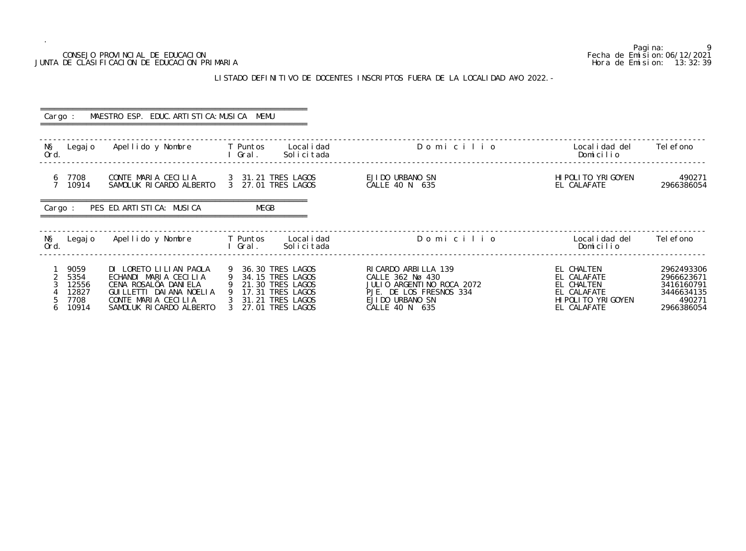## JUNTA DE CLASIFICACION DE EDUCACION PRIMARIA

.

#### LISTADO DEFINITIVO DE DOCENTES INSCRIPTOS FUERA DE LA LOCALIDAD A¥O 2022.-

| Cargo :                                              | MAESTRO ESP. EDUC. ARTI STI CA: MUSI CA MEMU                                                                                                            |                                                                                                                             |                                                                                                                                        |                                                                                               |                                                                              |
|------------------------------------------------------|---------------------------------------------------------------------------------------------------------------------------------------------------------|-----------------------------------------------------------------------------------------------------------------------------|----------------------------------------------------------------------------------------------------------------------------------------|-----------------------------------------------------------------------------------------------|------------------------------------------------------------------------------|
| NŞ<br>Legaj o<br>Ord.                                | Apellido y Nombre                                                                                                                                       | Local i dad<br>T Puntos<br>Solicitada<br>l Gral.                                                                            | Domicilio                                                                                                                              | Local i dad del<br>Domicilio                                                                  | Tel efono                                                                    |
| 7708<br>6<br>7 <sup>7</sup><br>10914                 | CONTE MARIA CECILIA<br>SAMOLUK RICARDO ALBERTO                                                                                                          | 3 31.21 TRES LAGOS<br>3 27.01 TRES LAGOS                                                                                    | EJIDO URBANO SN<br>CALLE 40 N 635                                                                                                      | HI POLI TO YRI GOYEN<br>EL CALAFATE                                                           | 490271<br>2966386054                                                         |
| Cargo :                                              | PES ED. ARTI STI CA: MUSI CA                                                                                                                            | MEGB                                                                                                                        |                                                                                                                                        |                                                                                               |                                                                              |
| NŞ<br>Legaj o<br>Ord.                                | Apellido y Nombre                                                                                                                                       | T Puntos<br>Local i dad<br>Solicitada<br>I Gral.                                                                            | Domicilio                                                                                                                              | Local i dad del<br>Domicilio                                                                  | Tel efono                                                                    |
| 9059<br>5354<br>12556<br>12827<br>7708<br>10914<br>6 | DI LORETO LILIAN PAOLA<br>ECHANDI MARIA CECILIA<br>CENA ROSALOA DANIELA<br>GUI LLETTI DAI ANA NOELI A<br>CONTE MARIA CECILIA<br>SAMOLUK RICARDO ALBERTO | 9 36.30 TRES LAGOS<br>9<br>34.15 TRES LAGOS<br>21.30 TRES LAGOS<br>17.31 TRES LAGOS<br>31.21 TRES LAGOS<br>27.01 TRES LAGOS | RI CARDO ARBI LLA 139<br>CALLE 362 Nø 430<br>JULIO ARGENTINO ROCA 2072<br>PJE. DE LOS FRESNOS 334<br>EJIDO URBANO SN<br>CALLE 40 N 635 | EL CHALTEN<br>EL CALAFATE<br>EL CHALTEN<br>EL CALAFATE<br>HI POLI TO YRI GOYEN<br>EL CALAFATE | 2962493306<br>2966623671<br>3416160791<br>3446634135<br>490271<br>2966386054 |

Pagina: 9<br>Fecha de Emision: 06/12/2021 CONSEJO PROVINCIAL DE EDUCACION Fecha de Emision:06/12/2021 o 20 Localidad del 30 Telefono<br>Domicilio ------------------------------------------------------------------------------------------------------------------------------------------------- HI POLI TO YRI GOYEN 490271<br>EL CALAFATE 2966386054 ------------------------------------------------------------------------------------------------------------------------------------------------- FILPOLITO YRIGOYEN 490271<br>FL CALAFATE 2966386054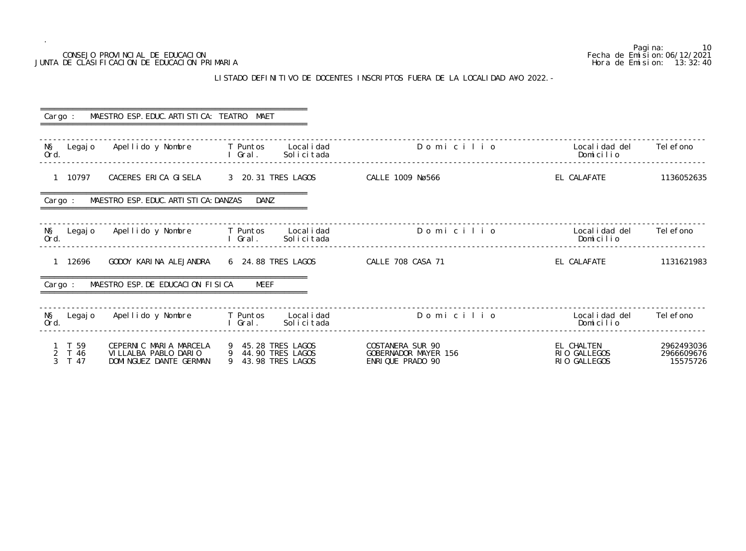| Cargo :                  | MAESTRO ESP. EDUC. ARTI STI CA: TEATRO MAET                              |                                                                           |                                                              |                                            |                                      |
|--------------------------|--------------------------------------------------------------------------|---------------------------------------------------------------------------|--------------------------------------------------------------|--------------------------------------------|--------------------------------------|
| NŞ<br>Legaj o<br>Ord.    | Apellido y Nombre     T Puntos                                           | Local i dad<br>I Gral.<br>Solicitada                                      | Domicilio                                                    | Local i dad del<br>Domicilio               | Tel efono                            |
| 1 10797                  | CACERES ERICA GISELA 3 20.31 TRES LAGOS                                  |                                                                           | <b>CALLE 1009 Nø566</b>                                      | EL CALAFATE                                | 1136052635                           |
| Cargo :                  | MAESTRO ESP. EDUC. ARTI STI CA: DANZAS                                   | DANZ                                                                      |                                                              |                                            |                                      |
| Ord.                     |                                                                          | N§ Legajo Apellido y Nombre T Puntos Localidad<br>Solicitada<br>I Gral.   | Domicilio                                                    | Local i dad del<br>Domicilio               | Tel efono                            |
| 1 12696                  | GODOY KARINA ALEJANDRA 6 24.88 TRES LAGOS                                |                                                                           | <b>CALLE 708 CASA 71</b>                                     | EL CALAFATE                                | 1131621983                           |
| Cargo :                  | MAESTRO ESP. DE EDUCACION FISICA                                         | MEEF                                                                      |                                                              |                                            |                                      |
| N§ Legajo<br>Ord.        |                                                                          | Apellido y Nombre         T Puntos     Localidad<br>Solicitada<br>l Gral. | Domicilio                                                    | Local i dad del<br>Domicilio               | Tel efono                            |
| T 59<br>2 T 46<br>3 T 47 | CEPERNIC MARIA MARCELA<br>VILLALBA PABLO DARIO<br>DOMINGUEZ DANTE GERMAN | 9 45.28 TRES LAGOS<br>9 44.90 TRES LAGOS<br>9 43.98 TRES LAGOS            | COSTANERA SUR 90<br>GOBERNADOR MAYER 156<br>ENRIQUE PRADO 90 | EL CHALTEN<br>RIO GALLEGOS<br>RIO GALLEGOS | 2962493036<br>2966609676<br>15575726 |

#### LISTADO DEFINITIVO DE DOCENTES INSCRIPTOS FUERA DE LA LOCALIDAD A¥O 2022.-

Pagina: 10<br>Fecha de Emision: 06/12/2021 CONSEJO PROVINCIAL DE EDUCACION Fecha de Emision:06/12/2021 JUNTA DE CLASIFICACION DE EDUCACION PRIMARIA Hora de Emision: 13:32:40 o Localidad del Telefono<br>Domicilio ------------------------------------------------------------------------------------------------------------------------------------------------- ------------------------------------------------------------------------------------------------------------------------------------------------ o 20 Localidad del 2008 Localidad del Nombre T Puntos Localidad del 2008 Localidad del 2008 Localidad del Tele<br>Nomi cilio ------------------------------------------------------------------------------------------------------------------------------------------------- ------------------------------------------------------------------------------------------------------------------------------------------------- -------------------------------------------------------------------------------------------------------------------------------------------------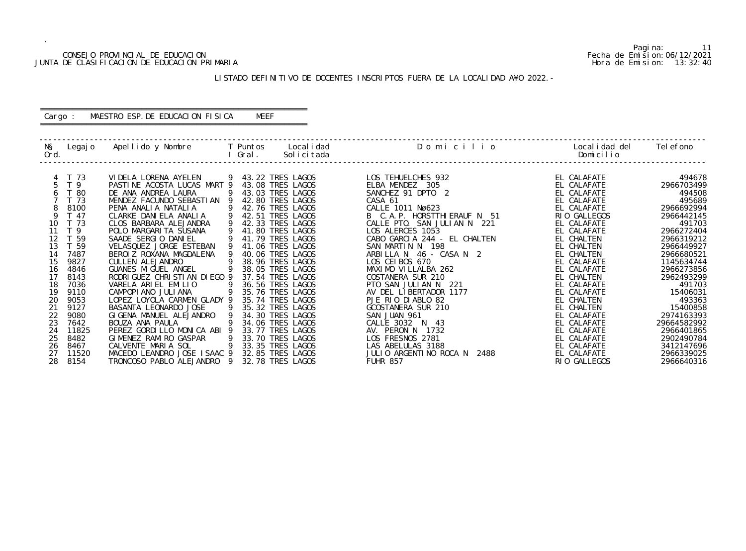#### CONSEJO PROVINCIAL DE EDUCACION Fecha de Emision:06/12/2021 JUNTA DE CLASIFICACION DE EDUCACION PRIMARIA Hora de Emision: 13:32:40

#### LISTADO DEFINITIVO DE DOCENTES INSCRIPTOS FUERA DE LA LOCALIDAD A¥O 2022.-

#### ========================================================== Cargo : MAESTRO ESP.DE EDUCACION FISICA MEEF

==========================================================

| NŞ<br>Ord. | Legaj o        | Apellido y Nombre               |             | T Puntos<br>Gral. | Local i dad<br>Solicitada | Domicilio                    | Local i dad del<br>Domicilio | Tel efono   |
|------------|----------------|---------------------------------|-------------|-------------------|---------------------------|------------------------------|------------------------------|-------------|
|            | T 73           | VI DELA LORENA AYELEN           |             |                   | 9 43.22 TRES LAGOS        | LOS TEHUELCHES 932           | EL CALAFATE                  | 494678      |
|            | T <sub>9</sub> | PASTINE ACOSTA LUCAS MART 9     |             |                   | 43.08 TRES LAGOS          | ELBA MENDEZ 305              | EL CALAFATE                  | 2966703499  |
|            | T 80           | DE ANA ANDREA LAURA             |             |                   | 43.03 TRES LAGOS          | SANCHEZ 91 DPTO 2            | EL CALAFATE                  | 494508      |
|            | T 73           | MENDEZ FACUNDO SEBASTIAN 9      |             |                   | 42.80 TRES LAGOS          | CASA 61                      | EL CALAFATE                  | 495689      |
| 8          | 8100           | PENA ANALIA NATALIA             |             |                   | 42.76 TRES LAGOS          | CALLE 1011 Nø623             | EL CALAFATE                  | 2966692994  |
| 9          | T 47           | CLARKE DANIELA ANALIA           | 9           |                   | 42.51 TRES LAGOS          | B C.A.P. HORSTTHI ERAUF N 51 | RIO GALLEGOS                 | 2966442145  |
| 10         | T 73           | CLOS BARBARA ALEJANDRA          | 9           |                   | 42.33 TRES LAGOS          | CALLE PTO. SAN JULIAN N 221  | EL CALAFATE                  | 491703      |
| 11         | T <sub>9</sub> | POLO MARGARI TA SUSANA          |             |                   | 41.80 TRES LAGOS          | LOS ALERCES 1053             | EL CALAFATE                  | 2966272404  |
| 12         | T 59           | SAADE SERGIO DANIEL             |             |                   | 41.79 TRES LAGOS          | CABO GARCIA 244 - EL CHALTEN | EL CHALTEN                   | 2966319212  |
| 13         | T 59           | VELASQUEZ JORGE ESTEBAN         |             |                   | 41.06 TRES LAGOS          | SAN MARTIN N 198             | EL CHALTEN                   | 2966449927  |
| 14         | 7487           | BEROIZ ROXANA MAGDALENA         |             |                   | 40.06 TRES LAGOS          | ARBILLA N 46 - CASA N 2      | EL CHALTEN                   | 2966680521  |
| 15         | 9827           | <b>CULLEN ALEJANDRO</b>         |             |                   | 38.96 TRES LAGOS          | LOS CEIBOS 670               | EL CALAFATE                  | 1145634744  |
| 16         | 4846           | <b>GUANES MI GUEL ANGEL</b>     |             |                   | 38.05 TRES LAGOS          | MAXIMO VILLALBA 262          | EL CALAFATE                  | 2966273856  |
| 17         | 8143           | RODRI GUEZ CHRI STI AN DI EGO 9 |             |                   | 37.54 TRES LAGOS          | COSTANERA SUR 210            | EL CHALTEN                   | 2962493299  |
| 18         | 7036           | VARELA ARIEL EMILIO             |             |                   | 36.56 TRES LAGOS          | PTO SAN JULIAN N<br>221      | EL CALAFATE                  | 491703      |
| 19         | 9110           | CAMPOPIANO JULIANA              | 9           |                   | 35.76 TRES LAGOS          | AV DEL LIBERTADOR 1177       | EL CALAFATE                  | 15406031    |
| 20         | 9053           | LOPEZ LOYOLA CARMEN GLADY 9     |             |                   | 35.74 TRES LAGOS          | PJE RIO DIABLO 82            | EL CHALTEN                   | 493363      |
| 21         | 9127           | BASANTA LEONARDO JOSE           |             |                   | 35.32 TRES LAGOS          | GCOSTANERA SUR 210           | EL CHALTEN                   | 15400858    |
|            | 9080           | GIGENA MANUEL ALEJANDRO         | $\mathsf Q$ |                   | 34.30 TRES LAGOS          | SAN JUAN 961                 | EL CALAFATE                  | 2974163393  |
| 23         | 7642           | BOUZA ANA PAULA                 |             |                   | 34.06 TRES LAGOS          | CALLE 3032 N 43              | EL CALAFATE                  | 29664582992 |
| 24         | 11825          | PEREZ GORDILLO MONICA ABI 9     |             |                   | 33.77 TRES LAGOS          | AV. PERON N 1732             | EL CALAFATE                  | 2966401865  |
| 25         | 8482           | GIMENEZ RAMIRO GASPAR           |             |                   | 33.70 TRES LAGOS          | LOS FRESNOS 2781             | EL CALAFATE                  | 2902490784  |
| 26         | 8467           | CALVENTE MARIA SOL              | 9           |                   | 33.35 TRES LAGOS          | LAS ABELULAS 3188            | EL CALAFATE                  | 3412147696  |
| 27         | 11520          | MACEDO LEANDRO JOSE ISAAC 9     |             |                   | 32.85 TRES LAGOS          | JULIO ARGENTINO ROCA N 2488  | EL CALAFATE                  | 2966339025  |
| 28         | 8154           | TRONCOSO PABLO ALEJANDRO        | - 9         |                   | 32.78 TRES LAGOS          | <b>FUHR 857</b>              | RIO GALLEGOS                 | 2966640316  |

Pagina: 11<br>Fecha de Emision: 06/12/2021<br>Hora de Emision: 13:32:40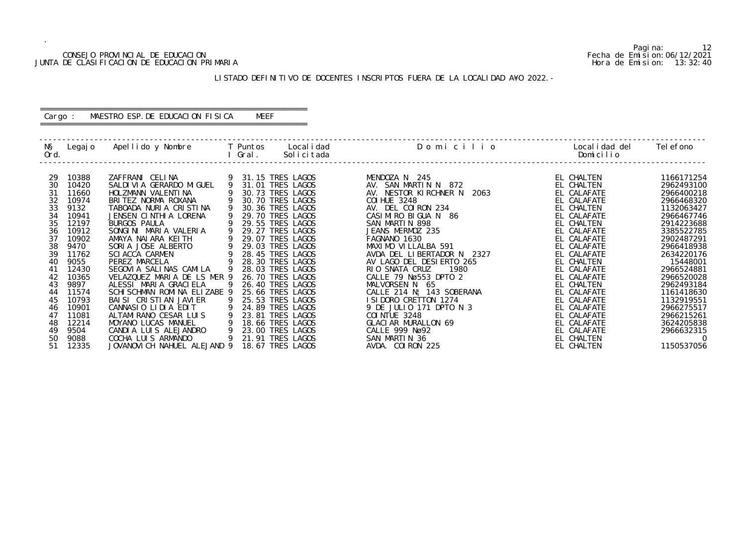#### CONSEJO PROVINCIAL DE EDUCACION Fecha de Emision:06/12/2021 JUNTA DE CLASIFICACION DE EDUCACION PRIMARIA Hora de Emision: 13:32:40

#### LISTADO DEFINITIVO DE DOCENTES INSCRIPTOS FUERA DE LA LOCALIDAD A¥O 2022.-

#### ========================================================== Cargo : MAESTRO ESP.DE EDUCACION FISICA MEEF

==========================================================

| Apellido y Nombre<br>NŞ<br>Legaj o<br>Ord.                                                                                                                                                                                                                                                                                                                                                                                                                                                                                                                                                                                                                                                                                                                                                                                                                                                 | T Puntos<br>I Gral. | Local i dad<br>Solicitada                                                                                                                                                                                                                                                                                                                                                                                                                            | Domicilio                                                                                                                                                                                                                                                                                                                                                                                                                                                                                                                  | Local i dad del<br>Domicilio                                                                                                                                                                                                                                                                                                    | Tel efono                                                                                                                                                                                                                                                                                        |
|--------------------------------------------------------------------------------------------------------------------------------------------------------------------------------------------------------------------------------------------------------------------------------------------------------------------------------------------------------------------------------------------------------------------------------------------------------------------------------------------------------------------------------------------------------------------------------------------------------------------------------------------------------------------------------------------------------------------------------------------------------------------------------------------------------------------------------------------------------------------------------------------|---------------------|------------------------------------------------------------------------------------------------------------------------------------------------------------------------------------------------------------------------------------------------------------------------------------------------------------------------------------------------------------------------------------------------------------------------------------------------------|----------------------------------------------------------------------------------------------------------------------------------------------------------------------------------------------------------------------------------------------------------------------------------------------------------------------------------------------------------------------------------------------------------------------------------------------------------------------------------------------------------------------------|---------------------------------------------------------------------------------------------------------------------------------------------------------------------------------------------------------------------------------------------------------------------------------------------------------------------------------|--------------------------------------------------------------------------------------------------------------------------------------------------------------------------------------------------------------------------------------------------------------------------------------------------|
| 10388<br>ZAFFRANI CELINA<br>29<br>30<br>10420<br>SALDI VI A GERARDO MI GUEL<br>31<br>11660<br>HOLZMANN VALENTINA<br>32<br>10974<br>BRITEZ NORMA ROXANA<br>33<br>9132<br>TABOADA NURIA CRISTINA<br>34<br>JENSEN CINTHIA LORENA<br>10941<br>35<br>12197<br><b>BURGOS PAULA</b><br>36<br>10912<br>SONGINI MARIA VALERIA<br>AMAYA NALARA KELTH<br>37<br>10902<br>38<br>9470<br>SORIA JOSE ALBERTO<br><b>SCI ACCA CARMEN</b><br>39<br>11762<br>9055<br>PEREZ MARCELA<br>40<br>12430<br>SEGOVIA SALINAS CAMILA<br>41<br>VELAZQUEZ MARIA DE LS MER 9<br>42<br>10365<br>43<br>9897<br>ALESSI MARIA GRACIELA<br>SCHI SCHMAN ROMINA ELIZABE 9<br>11574<br>44<br>10793<br>BAI SI CRISTIAN JAVIER<br>45<br>10901<br>CANNASIO LIDIA EDIT<br>46<br>11081<br>ALTAMIRANO CESAR LUIS<br>47<br>12214<br>MOYANO LUCAS MANUEL<br>48<br>CANDIA LUIS ALEJANDRO<br>49<br>9504<br>COCHA LUIS ARMANDO<br>50<br>9088 | 9<br>9<br>9<br>9    | 31.15 TRES LAGOS<br>31.01 TRES LAGOS<br>30.73 TRES LAGOS<br>30.70 TRES LAGOS<br>30.36 TRES LAGOS<br>29.70 TRES LAGOS<br>29.55 TRES LAGOS<br>29.27 TRES LAGOS<br>29.07 TRES LAGOS<br>29.03 TRES LAGOS<br>28.45 TRES LAGOS<br>28.30 TRES LAGOS<br>28.03 TRES LAGOS<br>26.70 TRES LAGOS<br>26.40 TRES LAGOS<br>25.66 TRES LAGOS<br>25.53 TRES LAGOS<br>24.89 TRES LAGOS<br>23.81 TRES LAGOS<br>18.66 TRES LAGOS<br>23.00 TRES LAGOS<br>21.91 TRES LAGOS | MENDOZA N 245<br>AV. SAN MARTIN N 872<br>AV. NESTOR KIRCHNER N<br>2063<br><b>COI HUE 3248</b><br>AV. DEL COIRON 234<br>CASIMIRO BIGUA N 86<br>SAN MARTIN 898<br>JEANS MERMOZ 235<br>FAGNANO 1630<br>MAXIMO VILLALBA 591<br>AVDA DEL LIBERTADOR N 2327<br>AV LAGO DEL DESIERTO 265<br>RIO SNATA CRUZ<br>1980<br>CALLE 79 Nø553 DPT0 2<br>MALVORSEN N 65<br>CALLE 214 N! 143 SOBERANA<br>I SI DORO CRETTON 1274<br>9 DE JULIO 171 DPTO N 3<br><b>COI NTUE 3248</b><br>GLACIAR MURALLON 69<br>CALLE 999 Nø92<br>SAN MARTIN 36 | EL CHALTEN<br>EL CHALTEN<br>EL CALAFATE<br>EL CALAFATE<br>EL CHALTEN<br>EL CALAFATE<br>EL CHALTEN<br>EL CALAFATE<br>EL CALAFATE<br>EL CALAFATE<br>EL CALAFATE<br>EL CHALTEN<br>EL CALAFATE<br>EL CALAFATE<br>EL CHALTEN<br>EL CALAFATE<br>EL CALAFATE<br>EL CALAFATE<br>EL CALAFATE<br>EL CALAFATE<br>EL CALAFATE<br>EL CHALTEN | 1166171254<br>2962493100<br>2966400218<br>2966468320<br>1132063427<br>2966467746<br>2914223688<br>3385522785<br>2902487291<br>2966418938<br>2634220176<br>15448001<br>2966524881<br>2966520028<br>2962493184<br>1161418630<br>1132919551<br>2966275517<br>2966215261<br>3624205838<br>2966632315 |

Pagina: 12<br>Fecha de Emision: 06/12/2021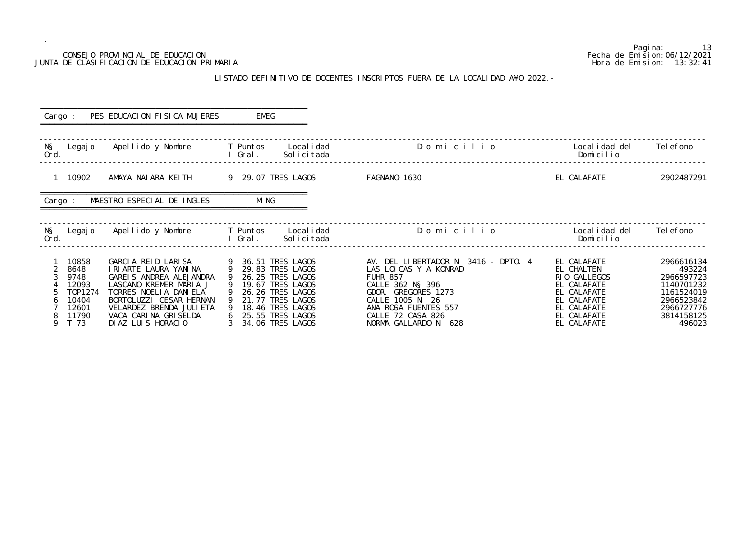#### CONSEJO PROVINCIAL DE EDUCACION JUNTA DE CLASIFICACION DE EDUCACION PRIMARIA

.

#### LISTADO DEFINITIVO DE DOCENTES INSCRIPTOS FUERA DE LA LOCALI

| CONSEJO PROVINCIAL DE EDUCACION<br>JUNTA DE CLASIFICACION DE EDUCACION PRIMARIA                                                                                                                                                                                |                                                                                                                                                                                                                                                                    | Pagi na:<br>13<br>Fecha de Emi si on: 06/12/2021<br>Hora de Emision: 13:32:41                                                                                                                                      |                                                                                                                                      |                                                                                                                   |
|----------------------------------------------------------------------------------------------------------------------------------------------------------------------------------------------------------------------------------------------------------------|--------------------------------------------------------------------------------------------------------------------------------------------------------------------------------------------------------------------------------------------------------------------|--------------------------------------------------------------------------------------------------------------------------------------------------------------------------------------------------------------------|--------------------------------------------------------------------------------------------------------------------------------------|-------------------------------------------------------------------------------------------------------------------|
|                                                                                                                                                                                                                                                                |                                                                                                                                                                                                                                                                    | LISTADO DEFINITIVO DE DOCENTES INSCRIPTOS FUERA DE LA LOCALIDAD A¥O 2022. -                                                                                                                                        |                                                                                                                                      |                                                                                                                   |
| PES EDUCACION FISICA MUJERES<br>Cargo :                                                                                                                                                                                                                        | <b>EMEG</b>                                                                                                                                                                                                                                                        |                                                                                                                                                                                                                    |                                                                                                                                      |                                                                                                                   |
| N§ Legajo Apellido y Nombre T Puntos Localidad<br>Ord.                                                                                                                                                                                                         | Solicitada                                                                                                                                                                                                                                                         | Domicilio                                                                                                                                                                                                          | Local i dad del<br>Domicilio                                                                                                         | Tel efono                                                                                                         |
| 1 10902                                                                                                                                                                                                                                                        | AMAYA NAIARA KEITH 9 29.07 TRES LAGOS                                                                                                                                                                                                                              | FAGNANO 1630                                                                                                                                                                                                       | EL CALAFATE                                                                                                                          | 2902487291                                                                                                        |
| MAESTRO ESPECIAL DE INGLES<br>Cargo :                                                                                                                                                                                                                          | MI NG                                                                                                                                                                                                                                                              |                                                                                                                                                                                                                    |                                                                                                                                      |                                                                                                                   |
| Legajo Apellido y Nombre T Puntos Localidad<br>NŞ<br>Ord.                                                                                                                                                                                                      | l Gral.<br>Solicitada                                                                                                                                                                                                                                              | Domicilio                                                                                                                                                                                                          | Local i dad del<br>Domicilio                                                                                                         | Tel efono                                                                                                         |
| 10858<br>8648<br>2<br>I RI ARTE LAURA YANINA<br>3<br>9748<br>GAREIS ANDREA ALEJANDRA<br>12093<br>LASCANO KREMER MARIA J<br>T0P1274<br>TORRES NOELIA DANIELA<br>10404<br>VELARDEZ BRENDA JULI ETA<br>12601<br>11790<br>VACA CARINA GRISELDA<br>$\Omega$<br>T 73 | GARCIA REID LARISA 9 36.51 TRES LAGOS<br>9 29.83 TRES LAGOS<br>26.25 TRES LAGOS<br>9<br>9 19.67 TRES LAGOS<br>9 26.26 TRES LAGOS<br>BORTOLUZZI CESAR HERNAN 9 21.77 TRES LAGOS<br>9 18.46 TRES LAGOS<br>6 25.55 TRES LAGOS<br>DIAZILIIS HORACIO 3 34 O6 TRES LAGOS | AV. DEL LIBERTADOR N 3416 - DPTO. 4<br>LAS LOICAS Y A KONRAD<br><b>FUHR 857</b><br>CALLE 362 N§ 396<br>GDOR. GREGORES 1273<br>CALLE 1005 N 26<br>ANA ROSA FUENTES 557<br>CALLE 72 CASA 826<br>NORMA GALLARDO N 628 | EL CALAFATE<br>EL CHALTEN<br>RIO GALLEGOS<br>EL CALAFATE<br>EL CALAFATE<br>EL CALAFATE<br>EL CALAFATE<br>EL CALAFATE<br>FI CAI AFATE | 2966616134<br>493224<br>2966597723<br>1140701232<br>1161524019<br>2966523842<br>2966727776<br>3814158125<br>AQAD2 |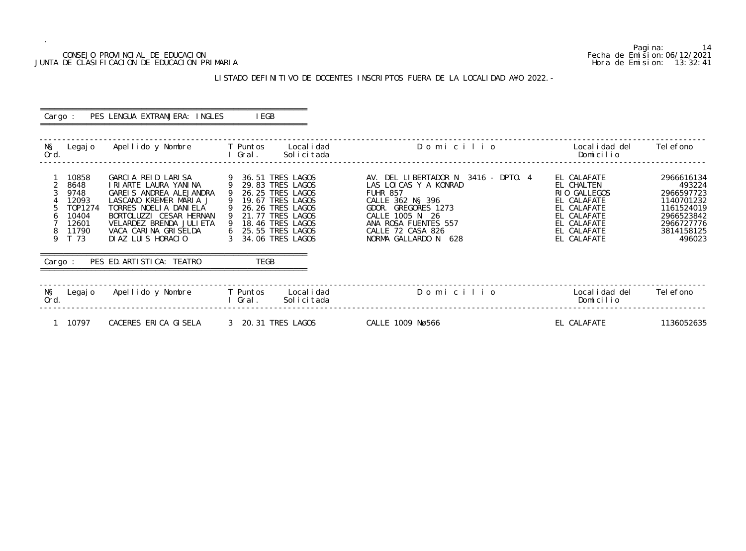#### CONSEJO PROVINCIAL DE EDUCACION Fecha de Emision:06/12/2021 JUNTA DE CLASIFICACION DE EDUCACION PRIMARIA Hora de Emision: 13:32:41

## LISTADO DEFINITIVO DE DOCENTES INSCRIPTOS FUERA DE LA LOCALIDAD A¥O 2022.-

| Cargo :     |                                                                              | PES LENGUA EXTRANJERA: INGLES                                                                                                                                                                                                 | I EGB                                                                                                                                                                                        |                                                                                                                                                                                                                     |                                                                                                                                     |                                                                                                                    |
|-------------|------------------------------------------------------------------------------|-------------------------------------------------------------------------------------------------------------------------------------------------------------------------------------------------------------------------------|----------------------------------------------------------------------------------------------------------------------------------------------------------------------------------------------|---------------------------------------------------------------------------------------------------------------------------------------------------------------------------------------------------------------------|-------------------------------------------------------------------------------------------------------------------------------------|--------------------------------------------------------------------------------------------------------------------|
| NŞ<br>Ord.  | Legaj o                                                                      | Apellido y Nombre                                                                                                                                                                                                             | T Puntos<br>Local i dad<br>I Gral.<br>Solicitada                                                                                                                                             | Domicilio                                                                                                                                                                                                           | Local i dad del<br>Domicilio                                                                                                        | Tel efono                                                                                                          |
| 6<br>8<br>9 | 10858<br>8648<br>9748<br>12093<br>T0P1274<br>10404<br>12601<br>11790<br>T 73 | GARCIA REID LARISA<br>I RI ARTE LAURA YANINA<br>GAREIS ANDREA ALEJANDRA<br>LASCANO KREMER MARIA J<br>TORRES NOELLA DANIELA<br>BORTOLUZZI CESAR HERNAN<br>VELARDEZ BRENDA JULIETA<br>VACA CARINA GRISELDA<br>DIAZ LUIS HORACIO | 36.51 TRES LAGOS<br>- 9<br>9<br>29.83 TRES LAGOS<br>26.25 TRES LAGOS<br>19.67 TRES LAGOS<br>26.26 TRES LAGOS<br>21.77 TRES LAGOS<br>18.46 TRES LAGOS<br>25.55 TRES LAGOS<br>34.06 TRES LAGOS | AV. DEL LIBERTADOR N 3416 - DPTO. 4<br>LAS LOI CAS Y A KONRAD<br><b>FUHR 857</b><br>CALLE 362 NS 396<br>GDOR. GREGORES 1273<br>CALLE 1005 N 26<br>ANA ROSA FUENTES 557<br>CALLE 72 CASA 826<br>NORMA GALLARDO N 628 | EL CALAFATE<br>EL CHALTEN<br>RIO GALLEGOS<br>EL CALAFATE<br>EL CALAFATE<br>EL CALAFATE<br>EL CALAFATE<br>EL CALAFATE<br>EL CALAFATE | 2966616134<br>493224<br>2966597723<br>1140701232<br>1161524019<br>2966523842<br>2966727776<br>3814158125<br>496023 |
| Cargo :     |                                                                              | PES ED. ARTI STI CA: TEATRO                                                                                                                                                                                                   | TEGB                                                                                                                                                                                         |                                                                                                                                                                                                                     |                                                                                                                                     |                                                                                                                    |
| NŞ<br>Ord.  | Legaj o                                                                      | Apellido y Nombre                                                                                                                                                                                                             | T Puntos<br>Local i dad<br>Solicitada<br>I Gral.                                                                                                                                             | Domicilio                                                                                                                                                                                                           | Local i dad del<br>Domicilio                                                                                                        | Tel efono                                                                                                          |
|             | 10797                                                                        | CACERES ERICA GISELA                                                                                                                                                                                                          | 3 20.31 TRES LAGOS                                                                                                                                                                           | CALLE 1009 Nø566                                                                                                                                                                                                    | EL CALAFATE                                                                                                                         | 1136052635                                                                                                         |

Pagina: 14<br>Fecha de Emision: 06/12/2021<br>Hora de Emision: 13:32:41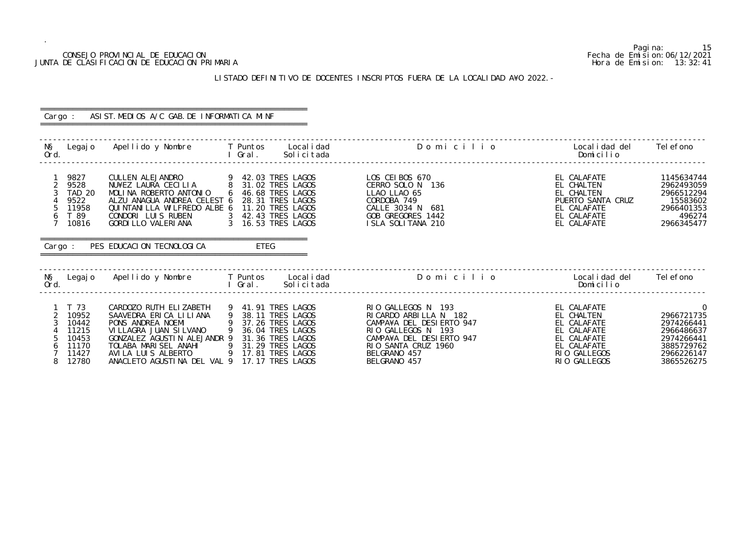#### CONSEJO PROVINCIAL DE EDUCACION Fecha de Emision:06/12/2021 JUNTA DE CLASIFICACION DE EDUCACION PRIMARIA Hora de Emision: 13:32:41

## LISTADO DEFINITIVO DE DOCENTES INSCRIPTOS FUERA DE LA LOCALIDAD A¥O 2022.-

| Cargo :                                                                                                                  | ASIST. MEDIOS A/C GAB. DE INFORMATICA MINF                                                                                                                                                                                                                                                  |                                                                                                            |                                                                                                                                                                                   |                                                                                                                       |                                                                                                                  |  |  |  |  |  |  |  |
|--------------------------------------------------------------------------------------------------------------------------|---------------------------------------------------------------------------------------------------------------------------------------------------------------------------------------------------------------------------------------------------------------------------------------------|------------------------------------------------------------------------------------------------------------|-----------------------------------------------------------------------------------------------------------------------------------------------------------------------------------|-----------------------------------------------------------------------------------------------------------------------|------------------------------------------------------------------------------------------------------------------|--|--|--|--|--|--|--|
| Ord.                                                                                                                     | N§ Legajo Apellido y Nombre T Puntos Localidad<br><b>Example 2019 11 Gral</b> . All Gral .                                                                                                                                                                                                  | Solicitada                                                                                                 | Domicilio                                                                                                                                                                         | Local i dad del<br>Domicilio                                                                                          | Tel efono                                                                                                        |  |  |  |  |  |  |  |
| 9827<br>$\overline{2}$<br>9528<br><b>TAD 20</b><br>9522<br>5<br>11958<br>T 89<br>6<br>7 <sup>7</sup><br>10816<br>Cargo : | CULLEN ALEJANDRO               9   42.03 TRES LAGOS<br>NU¥EZ LAURA CECILIA       8   31.02 TRES LAGOS<br>MOLINA ROBERTO ANTONIO<br>ALZU ANAGUA ANDREA CELEST 6<br>QUINTANILLA WILFREDO ALBE 6<br>CONDORI LUIS RUBEN 3 42.43 TRES LAGOS<br>GORDI LLO VALERI ANA<br>PES EDUCACION TECNOLOGICA | 6 46.68 TRES LAGOS<br>28.31 TRES LAGOS<br>11.20 TRES LAGOS<br>3 16.53 TRES LAGOS<br>ETEG                   | LOS CEIBOS 670<br>CERRO SOLO N 136<br>LLAO LLAO 65<br>CORDOBA 749<br>CALLE 3034 N 681<br>GOB GREGORES 1442<br>ISLA SOLITANA 210                                                   | EL CALAFATE<br>EL CHALTEN<br>EL CHALTEN<br>PUERTO SANTA CRUZ<br>EL CALAFATE<br>EL CALAFATE<br>EL CALAFATE             | 1145634744<br>2962493059<br>2966512294<br>15583602<br>2966401353<br>496274<br>2966345477                         |  |  |  |  |  |  |  |
| Ord.                                                                                                                     | N§ Legajo Apellido y Nombre T Puntos Localidad                                                                                                                                                                                                                                              | I Gral.<br>Solicitada                                                                                      | Domicilio                                                                                                                                                                         | Localidad del<br>Domicilio                                                                                            | Tel efono                                                                                                        |  |  |  |  |  |  |  |
| T 73<br>$\overline{2}$<br>10952<br>3<br>10442<br>11215<br>10453<br>11170<br>11427<br>12780<br>8                          | CARDOZO RUTH ELIZABETH<br>SAAVEDRA ERICA LILIANA<br>PONS ANDREA NOEMI<br>VI LLAGRA JUAN SI LVANO<br>GONZALEZ AGUSTIN ALEJANDR 9 31.36 TRES LAGOS<br>TOLABA MARISEL ANAHI 9 31.29 TRES LAGOS<br>AVILA LUIS ALBERTO<br>ANACLETO AGUSTINA DEL VAL 9 17.17 TRES LAGOS                           | 9 41.91 TRES LAGOS<br>9 38.11 TRES LAGOS<br>9 37.26 TRES LAGOS<br>9 36.04 TRES LAGOS<br>9 17.81 TRES LAGOS | RIO GALLEGOS N 193<br>RI CARDO ARBILLA N 182<br>CAMPA¥A DEL DESIERTO 947<br>RIO GALLEGOS N 193<br>CAMPA¥A DEL DESIERTO 947<br>RIO SANTA CRUZ 1960<br>BELGRANO 457<br>BELGRANO 457 | EL CALAFATE<br>EL CHALTEN<br>EL CALAFATE<br>EL CALAFATE<br>EL CALAFATE<br>EL CALAFATE<br>RIO GALLEGOS<br>RIO GALLEGOS | $\overline{0}$<br>2966721735<br>2974266441<br>2966486637<br>2974266441<br>3885729762<br>2966226147<br>3865526275 |  |  |  |  |  |  |  |

Pagina: 15<br>Fecha de Emision: 06/12/2021<br>Hora de Emision: 13:32:41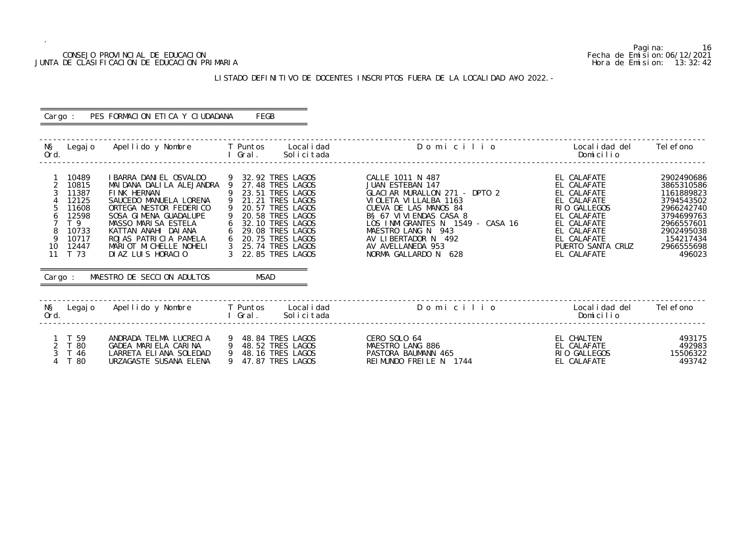#### CONSEJO PROVINCIAL DE EDUCACION Fecha de Emision:06/12/2021 JUNTA DE CLASIFICACION DE EDUCACION PRIMARIA Hora de Emision: 13:32:42

## LISTADO DEFINITIVO DE DOCENTES INSCRIPTOS FUERA DE LA LOCALIDAD A¥O 2022.-

| Cargo :                                                                                                                                | PES FORMACION ETICA Y CIUDADANA                                                                                                                                                                                                                                                                                                              | FEGB                                                                                                                                                                                                                                  |                                                                                                                                                                                                                                                                                     |                                                                                                                                                                          |                                                                                                                                                   |
|----------------------------------------------------------------------------------------------------------------------------------------|----------------------------------------------------------------------------------------------------------------------------------------------------------------------------------------------------------------------------------------------------------------------------------------------------------------------------------------------|---------------------------------------------------------------------------------------------------------------------------------------------------------------------------------------------------------------------------------------|-------------------------------------------------------------------------------------------------------------------------------------------------------------------------------------------------------------------------------------------------------------------------------------|--------------------------------------------------------------------------------------------------------------------------------------------------------------------------|---------------------------------------------------------------------------------------------------------------------------------------------------|
| NŞ<br>Ord.                                                                                                                             | Legajo Apellido y Nombre T Puntos Localidad                                                                                                                                                                                                                                                                                                  | l Gral.<br>Solicitada                                                                                                                                                                                                                 | Domicilio                                                                                                                                                                                                                                                                           | Localidad del<br>Domicilio                                                                                                                                               | Tel efono                                                                                                                                         |
| 10489<br>2<br>10815<br>3<br>11387<br>12125<br>11608<br>12598<br>6<br>T 9<br>10733<br>8<br>9<br>10717<br>10 12447<br>11 T 73<br>Cargo : | I BARRA DANI EL OSVALDO<br>MAI DANA DALILA ALEJANDRA 9 27.48 TRES LAGOS<br>FINK HERNAN<br>SAUCEDO MANUELA LORENA<br>ORTEGA NESTOR FEDERICO<br>SOSA GIMENA GUADALUPE<br>MASSO MARISA ESTELA<br>KATTAN ANAHI DAIANA 6<br>ROJAS PATRICIA PAMELA 6 20.75 TRES LAGOS<br>MARIOT MICHELLE NOHELI<br>DIAZ LUIS HORACIO<br>MAESTRO DE SECCION ADULTOS | 9 32.92 TRES LAGOS<br>9<br>23.51 TRES LAGOS<br>$\overline{9}$<br>21.21 TRES LAGOS<br>9 20.57 TRES LAGOS<br>9 20.58 TRES LAGOS<br>32.10 TRES LAGOS<br>6<br>29.08 TRES LAGOS<br>3 25.74 TRES LAGOS<br>3 22.85 TRES LAGOS<br><b>MSAD</b> | CALLE 1011 N 487<br>JUAN ESTEBAN 147<br>GLACIAR MURALLON 271 - DPTO 2<br>VI OLETA VI LLALBA 1163<br>CUEVA DE LAS MANOS 84<br>B§ 67 VI VI ENDAS CASA 8<br>LOS INMIGRANTES N 1549 - CASA 16<br>MAESTRO LANG N 943<br>AV LIBERTADOR N 492<br>AV AVELLANEDA 953<br>NORMA GALLARDO N 628 | EL CALAFATE<br>EL CALAFATE<br>EL CALAFATE<br>EL CALAFATE<br>RIO GALLEGOS<br>EL CALAFATE<br>EL CALAFATE<br>EL CALAFATE<br>EL CALAFATE<br>PUERTO SANTA CRUZ<br>EL CALAFATE | 2902490686<br>3865310586<br>1161889823<br>3794543502<br>2966242740<br>3794699763<br>2966557601<br>2902495038<br>154217434<br>2966555698<br>496023 |
| NŞ<br>Ord.                                                                                                                             | Legajo Apellido y Nombre T Puntos Localidad                                                                                                                                                                                                                                                                                                  | l Gral.<br>Solicitada                                                                                                                                                                                                                 | Domicilio                                                                                                                                                                                                                                                                           | Local i dad del<br>Domicilio                                                                                                                                             | Tel efono                                                                                                                                         |
| 1 T 59<br>2 T 80<br>$\mathcal{S}$<br>T 46<br>T 80                                                                                      | ANDRADA TELMA LUCRECIA 9 48.84 TRES LAGOS<br>GADEA MARIELA CARINA 9 48.52 TRES LAGOS<br>LARRETA ELIANA SOLEDAD 9 48.16 TRES LAGOS<br>URZAGASTE SUSANA ELENA                                                                                                                                                                                  | 9 47.87 TRES LAGOS                                                                                                                                                                                                                    | CERO SOLO 64<br>MAESTRO LANG 886<br>PASTORA BAUMANN 465<br>REIMUNDO FREILE N 1744                                                                                                                                                                                                   | EL CHALTEN<br>EL CALAFATE<br>RIO GALLEGOS<br>EL CALAFATE                                                                                                                 | 493175<br>492983<br>15506322<br>493742                                                                                                            |

Pagina: 16<br>Fecha de Emision: 06/12/2021<br>Hora de Emision: 13:32:42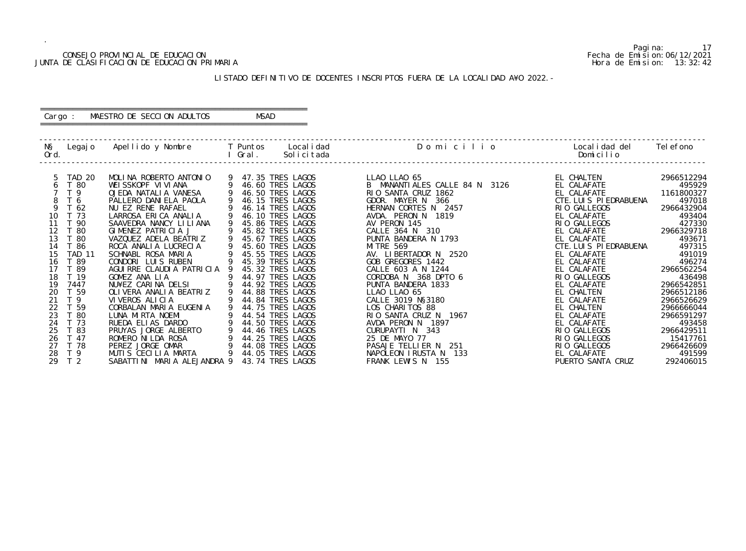#### CONSEJO PROVINCIAL DE EDUCACION Fecha de Emision:06/12/2021 JUNTA DE CLASIFICACION DE EDUCACION PRIMARIA Hora de Emision: 13:32:42

#### ========================================================== Cargo : MAESTRO DE SECCION ADULTOS MSAD

#### LISTADO DEFINITIVO DE DOCENTES INSCRIPTOS FUERA DE LA LOCALIDAD A¥O 2022.-

==========================================================

| NŞ<br>Ord.                                                                                                                    | Legaj o                                                                                                                                                                                                                                       | Apellido y Nombre                                                                                                                                                                                                                                                                                                                                                                                                                                                                                                                                                                                  |   | T Puntos<br>Gral. | Local i dad<br>Solicitada                                                                                                                                                                                                                                                                                                                                                                                                                                                                             | Domicilio                                                                                                                                                                                                                                                                                                                                                                                                                                                                                                                                                                | Local i dad del<br>Domicilio                                                                                                                                                                                                                                                                                                                                                                                     | Tel efono                                                                                                                                                                                                                                                                                                   |
|-------------------------------------------------------------------------------------------------------------------------------|-----------------------------------------------------------------------------------------------------------------------------------------------------------------------------------------------------------------------------------------------|----------------------------------------------------------------------------------------------------------------------------------------------------------------------------------------------------------------------------------------------------------------------------------------------------------------------------------------------------------------------------------------------------------------------------------------------------------------------------------------------------------------------------------------------------------------------------------------------------|---|-------------------|-------------------------------------------------------------------------------------------------------------------------------------------------------------------------------------------------------------------------------------------------------------------------------------------------------------------------------------------------------------------------------------------------------------------------------------------------------------------------------------------------------|--------------------------------------------------------------------------------------------------------------------------------------------------------------------------------------------------------------------------------------------------------------------------------------------------------------------------------------------------------------------------------------------------------------------------------------------------------------------------------------------------------------------------------------------------------------------------|------------------------------------------------------------------------------------------------------------------------------------------------------------------------------------------------------------------------------------------------------------------------------------------------------------------------------------------------------------------------------------------------------------------|-------------------------------------------------------------------------------------------------------------------------------------------------------------------------------------------------------------------------------------------------------------------------------------------------------------|
| 6<br>8<br>9<br>10<br>12<br>13<br>14<br>15<br>16<br>17<br>18<br>19<br>20<br>21<br>22<br>23<br>24<br>25<br>26<br>27<br>28<br>29 | <b>TAD 20</b><br>T 80<br>T <sub>9</sub><br>T 6<br>T 62<br>T 73<br>-90<br>- 80<br>80<br>86<br><b>TAD 11</b><br>ි 89<br>- 89<br>T 19<br>7447<br>T 59<br>T <sub>9</sub><br>T 59<br>T 80<br>T 73<br>T 83<br>T 47<br>T 78<br>T 9<br>T <sub>2</sub> | MOLINA ROBERTO ANTONIO<br>WEISSKOPF VIVIANA<br>OJEDA NATALIA VANESA<br>PALLERO DANIELA PAOLA<br>NU EZ RENE RAFAEL<br>LARROSA ERICA ANALIA<br>SAAVEDRA NANCY LILIANA<br>GIMENEZ PATRICIA J<br>VAZQUEZ ADELA BEATRIZ<br>ROCA ANALIA LUCRECIA<br>SCHNABL ROSA MARIA<br>CONDORI LUIS RUBEN<br>AGUIRRE CLAUDIA PATRICIA<br>GOMEZ ANA LIA<br>NU¥EZ CARINA DELSI<br>OLI VERA ANALI A BEATRIZ<br>VIVEROS ALICIA<br>CORBALAN MARIA EUGENIA<br>LUNA MIRTA NOEMI<br>RUEDA ELIAS DARDO<br>PRUYAS JORGE ALBERTO<br>ROMERO NI LDA ROSA<br>PEREZ JORGE OMAR<br>MUTIS CECILIA MARTA<br>SABATTINI MARIA ALEJANDRA 9 | 9 | 44.50 TRES        | 47.35 TRES LAGOS<br>46.60 TRES LAGOS<br>46.50 TRES LAGOS<br>46.15 TRES LAGOS<br>46.14 TRES LAGOS<br>46.10 TRES LAGOS<br>45.86 TRES LAGOS<br>45.82 TRES LAGOS<br>45.67 TRES LAGOS<br>45.60 TRES LAGOS<br>45.55 TRES LAGOS<br>45.39 TRES LAGOS<br>45.32 TRES LAGOS<br>44.97 TRES LAGOS<br>44.92 TRES LAGOS<br>44.88 TRES LAGOS<br>44.84 TRES LAGOS<br>44.75 TRES LAGOS<br>44.54 TRES LAGOS<br>LAGOS<br>44.46 TRES LAGOS<br>44.25 TRES LAGOS<br>44.08 TRES LAGOS<br>44.05 TRES LAGOS<br>43.74 TRES LAGOS | LLAO LLAO 65<br>B MANANTIALES CALLE 84 N 3126<br>RIO SANTA CRUZ 1862<br>GDOR. MAYER N<br>366<br>HERNAN CORTES N 2457<br>AVDA. PERON N 1819<br>AV PERON 145<br>310<br>CALLE 364 N<br>PUNTA BANDERA N 1793<br><b>MI TRE 569</b><br>AV. LIBERTADOR N 2520<br>GOB GREGORES 1442<br>CALLE 603 A N 1244<br>CORDOBA N 368 DPTO 6<br>PUNTA BANDERA 1833<br>LLAO LLAO 65<br>CALLE 3019 N§3180<br>LOS CHARITOS 88<br>RIO SANTA CRUZ N 1967<br>AVDA PERON N<br>1897<br>CURUPAYTI N 343<br>25 DE MAYO 77<br>PASAJE TELLIER N<br>251<br>NAPOLEON IRUSTA N<br>133<br>FRANK LEWIS N 155 | EL CHALTEN<br>EL CALAFATE<br>EL CALAFATE<br>CTE. LUIS PIEDRABUENA<br>RIO GALLEGOS<br>EL CALAFATE<br>RIO GALLEGOS<br>EL CALAFATE<br>EL CALAFATE<br>CTE. LUIS PIEDRABUENA<br>EL CALAFATE<br>EL CALAFATE<br>EL CALAFATE<br>RIO GALLEGOS<br>EL CALAFATE<br>EL CHALTEN<br>EL CALAFATE<br>EL CHALTEN<br>EL CALAFATE<br>EL CALAFATE<br>RIO GALLEGOS<br>RIO GALLEGOS<br>RIO GALLEGOS<br>EL CALAFATE<br>PUERTO SANTA CRUZ | 2966512294<br>495929<br>1161800327<br>497018<br>2966432904<br>493404<br>427330<br>2966329718<br>493671<br>497315<br>491019<br>496274<br>2966562254<br>436498<br>2966542851<br>2966512186<br>2966526629<br>2966666044<br>2966591297<br>493458<br>2966429511<br>15417761<br>2966426609<br>491599<br>292406015 |

Pagina: 17<br>Fecha de Emision: 06/12/2021<br>Hora de Emision: 13:32:42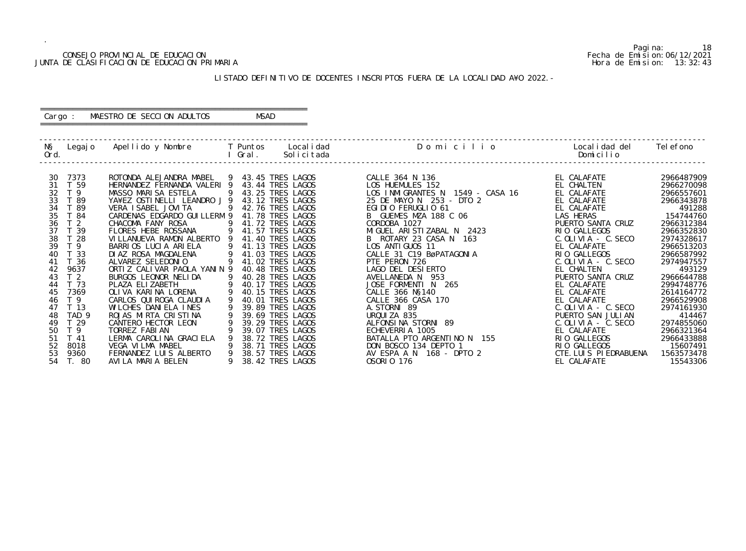#### CONSEJO PROVINCIAL DE EDUCACION Fecha de Emision:06/12/2021 JUNTA DE CLASIFICACION DE EDUCACION PRIMARIA Hora de Emision: 13:32:43

#### ========================================================== Cargo : MAESTRO DE SECCION ADULTOS MSAD

#### LISTADO DEFINITIVO DE DOCENTES INSCRIPTOS FUERA DE LA LOCALIDAD A¥O 2022.-

==========================================================

| NŞ<br>Ord. | Legaj o          | Apellido y Nombre                          |   | T Puntos<br>Gral. | Local i dad<br>Solicitada            | Domicilio                              | Local i dad del<br>Domicilio          | Tel efono              |
|------------|------------------|--------------------------------------------|---|-------------------|--------------------------------------|----------------------------------------|---------------------------------------|------------------------|
| 30         | 7373             | ROTONDA ALEJANDRA MABEL                    |   |                   | 9 43.45 TRES LAGOS                   | CALLE 364 N 136                        | EL CALAFATE                           | 2966487909             |
| 31         | T 59             | HERNANDEZ FERNANDA VALERI 9                |   |                   | 43.44 TRES LAGOS                     | LOS HUEMULES 152                       | EL CHALTEN                            | 2966270098             |
| 32         | T 9              | MASSO MARISA ESTELA                        | 9 |                   | 43.25 TRES LAGOS                     | LOS INMIGRANTES N<br>1549 - CASA 16    | EL CALAFATE                           | 2966557601             |
| 33         | T 89             | YA¥EZ OSTINELLI LEANDRO J 9                |   |                   | 43.12 TRES LAGOS                     | 25 DE MAYO N 253 - DTO 2               | EL CALAFATE                           | 2966343878             |
| 34         | T 89             | VERA I SABEL JOVI TA                       | 9 |                   | 42.76 TRES LAGOS                     | EGIDIO FERUGLIO 61                     | EL CALAFATE                           | 491288                 |
| 35         | T 84             | CARDENAS EDGARDO GUI LLERM 9               |   |                   | 41.78 TRES LAGOS                     | B GUEMES MZA 188 C 06                  | LAS HERAS                             | 154744760              |
| 36         | T <sub>2</sub>   | CHACOMA FANY ROSA                          |   |                   | 41.72 TRES LAGOS                     | CORDOBA 1027                           | PUERTO SANTA CRUZ                     | 2966312384             |
| 37         | T 39             | FLORES HEBE ROSSANA                        |   |                   | 41.57 TRES LAGOS                     | MIGUEL ARISTIZABAL N 2423              | RIO GALLEGOS                          | 2966352830             |
| 38         | T 28             | VILLANUEVA RAMON ALBERTO 9                 |   |                   | 41.40 TRES LAGOS                     | B ROTARY 23 CASA N 163                 | $C.$ OLIVIA - $C.$ SECO               | 2974328617             |
| 39         | T <sub>9</sub>   | BARRIOS LUCIA ARIELA                       | 9 |                   | 41.13 TRES LAGOS                     | LOS ANTIGUOS 11                        | EL CALAFATE                           | 2966513203             |
| 40         | 33               | DI AZ ROSA MAGDALENA                       |   |                   | 41.03 TRES LAGOS                     | CALLE 31 C19 BøPATAGONIA               | RIO GALLEGOS                          | 2966587992             |
| 41         | T 36             | ALVAREZ SELEDONIO                          |   |                   | 41.02 TRES LAGOS                     | PTE PERON 726                          | $C.$ OLIVIA - $C.$ SECO               | 2974947557             |
| 42         | 9637             | ORTIZ CALIVAR PAOLA YANIN 9                |   |                   | 40.48 TRES LAGOS                     | LAGO DEL DESIERTO                      | EL CHALTEN                            | 493129                 |
| 43         | T <sub>2</sub>   | BURGOS LEONOR NELIDA                       |   |                   | 40.28 TRES LAGOS                     | AVELLANEDA N 953                       | PUERTO SANTA CRUZ                     | 2966644788             |
| 44         | T 73             | PLAZA ELIZABETH                            |   |                   | 40.17 TRES LAGOS                     | JOSE FORMENTI N 265                    | EL CALAFATE                           | 2994748776             |
| 45         | 7369             | OLIVA KARINA LORENA                        |   |                   | 40.15 TRES LAGOS                     | CALLE 366 N§140                        | EL CALAFATE                           | 2614164772             |
| 46         | T <sub>9</sub>   | CARLOS QUI ROGA CLAUDI A                   |   |                   | 40.01 TRES LAGOS                     | CALLE 366 CASA 170                     | EL CALAFATE                           | 2966529908             |
| 47         | T <sub>13</sub>  | WILCHES DANIELA INES                       |   |                   | 39.89 TRES LAGOS                     | A. STORNI 89                           | $C.$ OLIVIA - $C.$ SECO               | 2974161930             |
| 48         | TAD <sub>9</sub> | ROJAS MIRTA CRISTINA                       |   |                   | 39.69 TRES LAGOS                     | URQUIZA 835                            | PUERTO SAN JULIAN                     | 414467                 |
| 49         | T 29             | CANTERO HECTOR LEON                        |   |                   | 39.29 TRES LAGOS                     | ALFONSINA STORNI 89                    | $C.$ OLIVIA - C. SECO                 | 2974855060             |
| 50         | T <sub>9</sub>   | TORREZ FABIAN                              |   |                   | 39.07 TRES LAGOS                     | ECHEVERRIA 1005                        | EL CALAFATE                           | 2966321364             |
| 51<br>52   | $T$ 41           | LERMA CAROLINA GRACIELA                    |   |                   | 38.72 TRES LAGOS<br>38.71 TRES LAGOS | BATALLA PTO ARGENTINO N 155            | RIO GALLEGOS                          | 2966433888             |
| 53         | 8018             | VEGA VILMA MABEL<br>FERNANDEZ LUIS ALBERTO |   |                   | 38.57 TRES LAGOS                     | DON BOSCO 134 DEPTO 1                  | RIO GALLEGOS<br>CTE. LUIS PIEDRABUENA | 15607491               |
| 54         | 9360<br>T. 80    | AVILA MARIA BELEN                          |   |                   | 38.42 TRES LAGOS                     | AV ESPA A N 168 - DPTO 2<br>0S0RI0 176 | EL CALAFATE                           | 1563573478<br>15543306 |

Pagina: 18<br>Fecha de Emision: 06/12/2021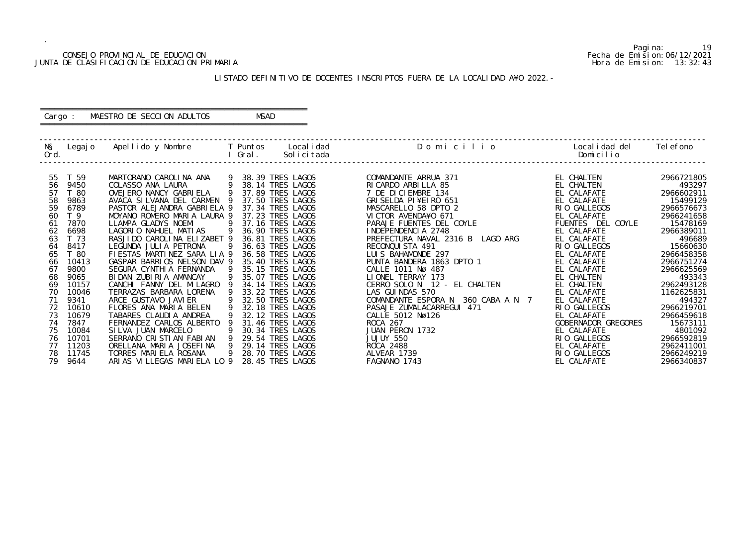#### CONSEJO PROVINCIAL DE EDUCACION Fecha de Emision:06/12/2021 JUNTA DE CLASIFICACION DE EDUCACION PRIMARIA Hora de Emision: 13:32:43

#### ========================================================== Cargo : MAESTRO DE SECCION ADULTOS MSAD

#### LISTADO DEFINITIVO DE DOCENTES INSCRIPTOS FUERA DE LA LOCALIDAD A¥O 2022.-

==========================================================

| NŞ<br>Ord. | Legaj o        | Apellido y Nombre           |     | T Puntos<br>Gral. | Local i dad<br>Solicitada | Domicilio                             | Local i dad del<br>Domicilio | Tel efono  |
|------------|----------------|-----------------------------|-----|-------------------|---------------------------|---------------------------------------|------------------------------|------------|
| 55         | T 59           | MARTORANO CAROLINA ANA      |     |                   | 38.39 TRES LAGOS          | COMANDANTE ARRUA 371                  | EL CHALTEN                   | 2966721805 |
| 56         | 9450           | COLASSO ANA LAURA           |     |                   | 38.14 TRES LAGOS          | RI CARDO ARBILLA 85                   | EL CHALTEN                   | 493297     |
| 57         | T 80           | OVEJERO NANCY GABRI ELA     | 9   |                   | 37.89 TRES LAGOS          | 7 DE DICIEMBRE 134                    | EL CALAFATE                  | 2966602911 |
| 58         | 9863           | AVACA SILVANA DEL CARMEN 9  |     |                   | 37.50 TRES LAGOS          | GRI SELDA PI¥EI RO 651                | EL CALAFATE                  | 15499129   |
| 59         | 6789           | PASTOR ALEJANDRA GABRIELA 9 |     |                   | 37.34 TRES LAGOS          | MASCARELLO 58 DPTO 2                  | RIO GALLEGOS                 | 2966576673 |
| 60         | T <sub>9</sub> | MOYANO ROMERO MARIA LAURA 9 |     |                   | 37.23 TRES LAGOS          | VICTOR AVENDA¥O 671                   | EL CALAFATE                  | 2966241658 |
| 61         | 7870           | LLAMPA GLADYS NOEMI         | -9  |                   | 37.16 TRES LAGOS          | PARAJE FUENTES DEL COYLE              | FUENTES DEL COYLE            | 15478169   |
| 62         | 6698           | LAGORIO NAHUEL MATIAS       | -9  |                   | 36.90 TRES LAGOS          | INDEPENDENCIA 2748                    | EL CALAFATE                  | 2966389011 |
| 63         | T 73           | RASJIDO CAROLINA ELIZABET 9 |     |                   | 36.81 TRES LAGOS          | PREFECTURA NAVAL 2316 B LAGO ARG      | EL CALAFATE                  | 496689     |
| 64         | 8417           | LEGUNDA JULIA PETRONA       | - 9 |                   | 36.63 TRES LAGOS          | RECONQUISTA 491                       | RIO GALLEGOS                 | 15660630   |
| 65         | T 80           | FIESTAS MARTINEZ SARA LIA 9 |     |                   | 36.58 TRES LAGOS          | LUIS BAHAMONDE 297                    | EL CALAFATE                  | 2966458358 |
| 66         | 10413          | GASPAR BARRIOS NELSON DAV 9 |     |                   | 35.40 TRES LAGOS          | PUNTA BANDERA 1863 DPTO 1             | EL CALAFATE                  | 2966751274 |
| 67         | 9800           | SEGURA CYNTHI A FERNANDA    |     |                   | 35.15 TRES LAGOS          | CALLE 1011 Nø 487                     | EL CALAFATE                  | 2966625569 |
| 68         | 9065           | BIDAN ZUBIRIA AMANCAY       |     |                   | 35.07 TRES LAGOS          | LIONEL TERRAY 173                     | EL CHALTEN                   | 493343     |
| 69         | 10157          | CANCHI FANNY DEL MILAGRO    |     |                   | 34.14 TRES LAGOS          | CERRO SOLO N 12 - EL CHALTEN          | EL CHALTEN                   | 2962493128 |
| 70         | 10046          | TERRAZAS BARBARA LORENA     |     |                   | 33.22 TRES LAGOS          | LAS GUINDAS 570                       | EL CALAFATE                  | 1162625831 |
|            | 9341           | ARCE GUSTAVO JAVI ER        |     |                   | 32.50 TRES LAGOS          | COMANDANTE ESPORA N<br>360 CABA A N 7 | EL CALAFATE                  | 494327     |
| 72         | 10610          | FLORES ANA MARIA BELEN      |     |                   | 32.18 TRES LAGOS          | PASAJE ZUMALACARREGUI 471             | RIO GALLEGOS                 | 2966219701 |
| 73         | 10679          | TABARES CLAUDIA ANDREA      |     |                   | 32.12 TRES LAGOS          | CALLE 5012 Nø126                      | EL CALAFATE                  | 2966459618 |
| 74         | 7847           | FERNANDEZ CARLOS ALBERTO    |     |                   | 31.46 TRES LAGOS          | <b>ROCA 267</b>                       | GOBERNADOR GREGORES          | 15673111   |
| 75         | 10084          | SILVA JUAN MARCELO          |     |                   | 30.34 TRES LAGOS          | JUAN PERON 1732                       | EL CALAFATE                  | 4801092    |
| 76         | 10701          | SERRANO CRISTIAN FABIAN     |     |                   | 29.54 TRES LAGOS          | JUJUY 550                             | RIO GALLEGOS                 | 2966592819 |
| 77         | 11203          | ORELLANA MARIA JOSEFINA     | 9   |                   | 29.14 TRES LAGOS          | ROCA 2488                             | EL CALAFATE                  | 2962411001 |
| 78         | 11745          | TORRES MARIELA ROSANA       | 9   |                   | 28.70 TRES LAGOS          | ALVEAR 1739                           | RIO GALLEGOS                 | 2966249219 |
| 79         | 9644           | ARIAS VILLEGAS MARIELA LO 9 |     |                   | 28.45 TRES LAGOS          | FAGNANO 1743                          | EL CALAFATE                  | 2966340837 |

Pagina: 19<br>Fecha de Emision: 06/12/2021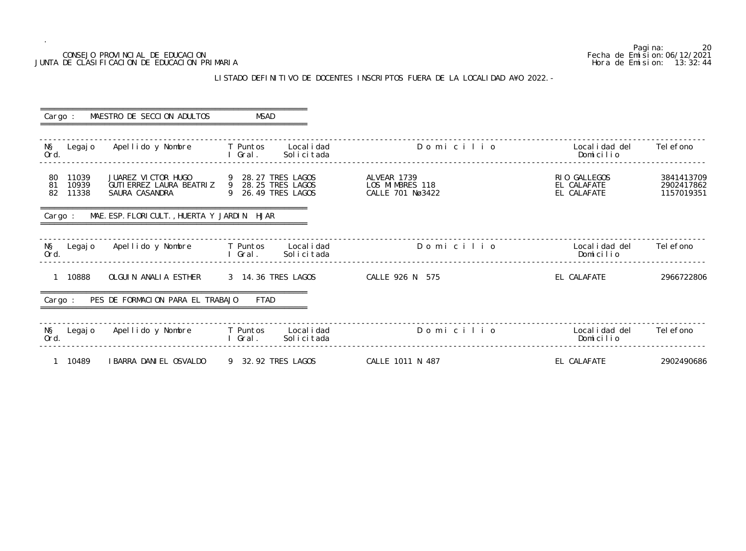#### LISTADO DEFINITIVO DE DOCENTES INSCRIPTOS FUERA DE LA LOCALIDAD A¥O 2022.-

20<br>Fecha de Emision: 06/12/2021 CONSEJO PROVINCIAL DE EDUCACION Fecha de Emision:06/12/2021 JUNTA DE CLASIFICACION DE EDUCACION PRIMARIA Hora de Emision: 13:32:44 o Localidad del Telefono<br>Domicilio ------------------------------------------------------------------------------------------------------------------------------------------------- ------------------------------------------------------------------------------------------------------------------------------------------------- Localidad del<br>Domicilio ------------------------------------------------------------------------------------------------------------------------------------------------- ------------------------------------------------------------------------------------------------------------------------------------------------ o Localidad del<br>Domicilio -------------------------------------------------------------------------------------------------------------------------------------------------

| Cargo :                                   | MAESTRO DE SECCION ADULTOS                                                          | MSAD                                                            |                                                    |                                            |                                        |
|-------------------------------------------|-------------------------------------------------------------------------------------|-----------------------------------------------------------------|----------------------------------------------------|--------------------------------------------|----------------------------------------|
| NŞ<br>Legaj o<br>Ord.                     | Apellido y Nombre                                                                   | T Puntos<br>Local i dad<br>Solicitada<br>I Gral.                | Domicilio                                          | Local i dad del<br>Domicilio               | Tel efono                              |
| 11039<br>80<br>10939<br>81<br>82<br>11338 | JUAREZ VICTOR HUGO<br>GUTI ERREZ LAURA BEATRIZ 9 28.25 TRES LAGOS<br>SAURA CASANDRA | 9 28.27 TRES LAGOS<br>9 26.49 TRES LAGOS                        | ALVEAR 1739<br>LOS MIMBRES 118<br>CALLE 701 Nø3422 | RIO GALLEGOS<br>EL CALAFATE<br>EL CALAFATE | 3841413709<br>2902417862<br>1157019351 |
| Cargo :                                   | MAE. ESP. FLORICULT., HUERTA Y JARDIN HJAR                                          |                                                                 |                                                    |                                            |                                        |
| NŞ<br>Ord.                                | Legajo Apellido y Nombre     T Puntos                                               | Local i dad<br>I Gral.<br>Solicitada                            | Domicilio                                          | Local i dad del<br>Domicilio               | Tel efono                              |
| 1 10888                                   | OLGUIN ANALIA ESTHER                                                                | 3 14.36 TRES LAGOS                                              | CALLE 926 N 575                                    | EL CALAFATE                                | 2966722806                             |
| Cargo :                                   | PES DE FORMACION PARA EL TRABAJO                                                    | FTAD                                                            |                                                    |                                            |                                        |
| NŞ<br>Legaj o<br>Ord.                     | Apellido y Nombre                                                                   | <b>Example T</b> Puntos<br>Local i dad<br>Solicitada<br>I Gral. | Domicilio                                          | Local i dad del<br>Domicilio               | Tel efono                              |
| 1 10489                                   | I BARRA DANI EL OSVALDO                                                             | 9 32.92 TRES LAGOS                                              | CALLE 1011 N 487                                   | EL CALAFATE                                | 2902490686                             |